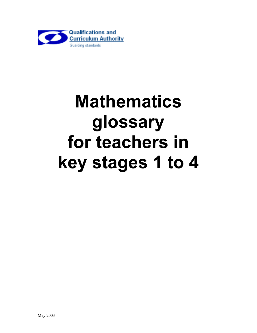

## **Mathematics glossary for teachers in key stages 1 to 4**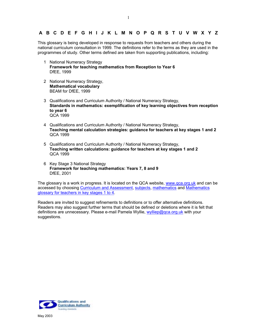## **[A](#page-2-0) [B](#page-3-0) [C](#page-4-0) [D](#page-11-0) [E](#page-13-0) [F](#page-15-0) [G](#page-16-0) [H](#page-17-0) [I](#page-18-0) J [K L](#page-19-0) [M](#page-20-0) [N](#page-22-0) [O](#page-23-0) [P](#page-24-0) [Q](#page-27-0) [R](#page-28-0) [S](#page-31-0) [T](#page-35-0) [U](#page-37-0) [V W](#page-38-0) X [Y Z](#page-38-0)**

This glossary is being developed in response to requests from teachers and others during the national curriculum consultation in 1999. The definitions refer to the terms as they are used in the programmes of study. Other terms defined are taken from supporting publications, including:

- 1 National Numeracy Strategy **Framework for teaching mathematics from Reception to Year 6**  DfEE, 1999
- 2 National Numeracy Strategy, **Mathematical vocabulary** BEAM for DfEE, 1999
- 3 Qualifications and Curriculum Authority / National Numeracy Strategy, **Standards in mathematics: exemplification of key learning objectives from reception to year 6**  QCA 1999
- 4 Qualifications and Curriculum Authority / National Numeracy Strategy, **Teaching mental calculation strategies: guidance for teachers at key stages 1 and 2**  QCA 1999
- 5 Qualifications and Curriculum Authority / National Numeracy Strategy, **Teaching written calculations: guidance for teachers at key stages 1 and 2**  QCA 1999
- 6 Key Stage 3 National Strategy **Framework for teaching mathematics: Years 7, 8 and 9**  DfEE, 2001

The glossary is a work in progress. It is located on the QCA website, www.qca.org.uk and can be accessed by choosing Curriculum and Assessment, subjects, mathematics and Mathematics glossary for teachers in key stages 1 to 4.

Readers are invited to suggest refinements to definitions or to offer alternative definitions. Readers may also suggest further terms that should be defined or deletions where it is felt that definitions are unnecessary. Please e-mail Pamela Wyllie, wylliep@qca.org.uk with your suggestions.

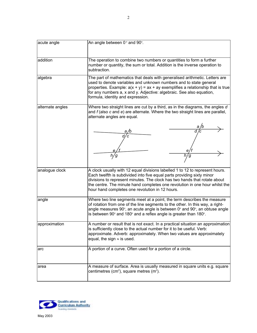<span id="page-2-0"></span>

| acute angle      | An angle between 0° and 90°.                                                                                                                                                                                                                                                                                                                                             |  |  |
|------------------|--------------------------------------------------------------------------------------------------------------------------------------------------------------------------------------------------------------------------------------------------------------------------------------------------------------------------------------------------------------------------|--|--|
|                  |                                                                                                                                                                                                                                                                                                                                                                          |  |  |
| addition         | The operation to combine two numbers or quantities to form a further<br>number or quantity, the sum or total. Addition is the inverse operation to<br>subtraction.                                                                                                                                                                                                       |  |  |
| algebra          | The part of mathematics that deals with generalised arithmetic. Letters are<br>used to denote variables and unknown numbers and to state general<br>properties. Example: $a(x + y) = ax + ay$ exemplifies a relationship that is true<br>for any numbers a, x and y. Adjective: algebraic. See also equation,<br>formula, identity and expression.                       |  |  |
| alternate angles | Where two straight lines are cut by a third, as in the diagrams, the angles d<br>and $f$ (also $c$ and $e$ ) are alternate. Where the two straight lines are parallel,<br>alternate angles are equal.                                                                                                                                                                    |  |  |
|                  |                                                                                                                                                                                                                                                                                                                                                                          |  |  |
|                  |                                                                                                                                                                                                                                                                                                                                                                          |  |  |
| analogue clock   | A clock usually with 12 equal divisions labelled 1 to 12 to represent hours.<br>Each twelfth is subdivided into five equal parts providing sixty minor<br>divisions to represent minutes. The clock has two hands that rotate about<br>the centre. The minute hand completes one revolution in one hour whilst the<br>hour hand completes one revolution in 12 hours.    |  |  |
| angle            | Where two line segments meet at a point, the term describes the measure<br>of rotation from one of the line segments to the other. In this way, a right-<br>angle measures 90 $^{\circ}$ , an acute angle is between 0 $^{\circ}$ and 90 $^{\circ}$ , an obtuse angle<br>is between 90 $^{\circ}$ and 180 $^{\circ}$ and a reflex angle is greater than 180 $^{\circ}$ . |  |  |
| approximation    | A number or result that is not exact. In a practical situation an approximation<br>is sufficiently close to the actual number for it to be useful. Verb:<br>approximate. Adverb: approximately. When two values are approximately<br>equal, the sign $\approx$ is used.                                                                                                  |  |  |
| arc              | A portion of a curve. Often used for a portion of a circle.                                                                                                                                                                                                                                                                                                              |  |  |
| area             | A measure of surface. Area is usually measured in square units e.g. square<br>centimetres (cm <sup>2</sup> ), square metres (m <sup>2</sup> ).                                                                                                                                                                                                                           |  |  |

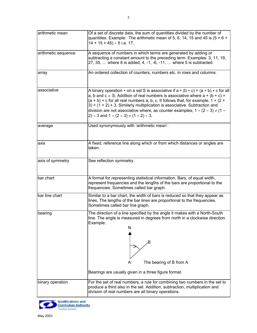<span id="page-3-0"></span>

| arithmetic mean     | Of a set of discrete data, the sum of quantities divided by the number of<br>quantities. Example: The arithmetic mean of 5, 6, 14, 15 and 45 is $(5 + 6 +$<br>$14 + 15 + 45$ ÷ 5 i.e. 17.                                                                                                                                                                                                                                                                                                                    |  |
|---------------------|--------------------------------------------------------------------------------------------------------------------------------------------------------------------------------------------------------------------------------------------------------------------------------------------------------------------------------------------------------------------------------------------------------------------------------------------------------------------------------------------------------------|--|
| arithmetic sequence | A sequence of numbers in which terms are generated by adding or<br>subtracting a constant amount to the preceding term. Examples: 3, 11, 19,<br>$27, 35, \ldots$ where 8 is added; 4, -1, -6, -11, $\ldots$ where 5 is subtracted.                                                                                                                                                                                                                                                                           |  |
| array               | An ordered collection of counters, numbers etc. in rows and columns.                                                                                                                                                                                                                                                                                                                                                                                                                                         |  |
| associative         | A binary operation $*$ on a set S is associative if $a * (b * c) = (a * b) * c$ for all<br>a, b and $c \in S$ . Addition of real numbers is associative where $a + (b + c) =$<br>$(a + b)$ + c for all real numbers a, b, c. It follows that, for example, $1 + (2 + b)$<br>$(3) = (1 + 2) + 3$ . Similarly multiplication is associative. Subtraction and<br>division are not associative where, as counter examples, $1 - (2 - 3) \neq (1 -$<br>$(2) - 3$ and $1 \div (2 \div 3) \div (1 \div 2) \div 3$ . |  |
| average             | Used synonymously with 'arithmetic mean'.                                                                                                                                                                                                                                                                                                                                                                                                                                                                    |  |
| axis                | A fixed, reference line along which or from which distances or angles are<br>taken.                                                                                                                                                                                                                                                                                                                                                                                                                          |  |
| axis of symmetry    | See reflection symmetry.                                                                                                                                                                                                                                                                                                                                                                                                                                                                                     |  |
| bar chart           | A format for representing statistical information. Bars, of equal width,<br>represent frequencies and the lengths of the bars are proportional to the<br>frequencies. Sometimes called bar graph.                                                                                                                                                                                                                                                                                                            |  |
| bar line chart      | Similar to a bar chart, the width of bars is reduced so that they appear as<br>lines. The lengths of the bar lines are proportional to the frequencies.<br>Sometimes called bar line graph.                                                                                                                                                                                                                                                                                                                  |  |
| bearing             | The direction of a line specified by the angle it makes with a North-South<br>line. The angle is measured in degrees from north in a clockwise direction.<br>Example:<br>N<br>B<br>The bearing of B from A                                                                                                                                                                                                                                                                                                   |  |

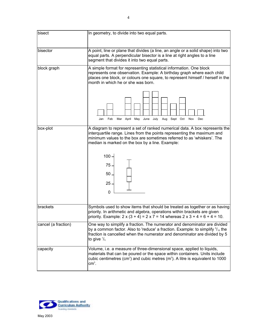<span id="page-4-0"></span>

| bisect              | In geometry, to divide into two equal parts.                                                                                                                                                                                                                                        |
|---------------------|-------------------------------------------------------------------------------------------------------------------------------------------------------------------------------------------------------------------------------------------------------------------------------------|
|                     |                                                                                                                                                                                                                                                                                     |
| bisector            | A point, line or plane that divides (a line, an angle or a solid shape) into two<br>equal parts. A perpendicular bisector is a line at right angles to a line<br>segment that divides it into two equal parts.                                                                      |
| block graph         | A simple format for representing statistical information. One block<br>represents one observation. Example: A birthday graph where each child<br>places one block, or colours one square, to represent himself / herself in the<br>month in which he or she was born.               |
|                     | Mar April May June July Aug Sept Oct<br>Jan<br>Feb<br>Nov<br>Dec                                                                                                                                                                                                                    |
| box-plot            | A diagram to represent a set of ranked numerical data. A box represents the<br>interquartile range. Lines from the points representing the maximum and<br>minimum values to the box are sometimes referred to as 'whiskers'. The<br>median is marked on the box by a line. Example: |
|                     | $100 -$<br>$75 -$<br>$50 -$<br>$25 -$<br>$\mathbf 0$                                                                                                                                                                                                                                |
| brackets            | Symbols used to show items that should be treated as together or as having<br>priority. In arithmetic and algebra, operations within brackets are given<br>priority. Example: $2 \times (3 + 4) = 2 \times 7 = 14$ whereas $2 \times 3 + 4 = 6 + 4 = 10$ .                          |
| cancel (a fraction) | One way to simplify a fraction. The numerator and denominator are divided<br>by a common factor. Also to 'reduce' a fraction. Example: to simplify $5/15$ the<br>fraction is cancelled when the numerator and denominator are divided by 5<br>to give $\frac{1}{3}$                 |
| capacity            | Volume, i.e. a measure of three-dimensional space, applied to liquids,<br>materials that can be poured or the space within containers. Units include<br>cubic centimetres (cm <sup>3</sup> ) and cubic metres ( $m3$ ). A litre is equivalent to 1000<br>$cm3$ .                    |

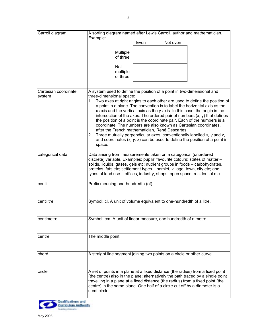| Carroll diagram      | A sorting diagram named after Lewis Carroll, author and mathematician.<br>Example:                                                                                |      |          |                                                                                                                                                         |
|----------------------|-------------------------------------------------------------------------------------------------------------------------------------------------------------------|------|----------|---------------------------------------------------------------------------------------------------------------------------------------------------------|
|                      |                                                                                                                                                                   | Even | Not even |                                                                                                                                                         |
|                      | Multiple                                                                                                                                                          |      |          |                                                                                                                                                         |
|                      | of three                                                                                                                                                          |      |          |                                                                                                                                                         |
|                      | Not                                                                                                                                                               |      |          |                                                                                                                                                         |
|                      | multiple<br>of three                                                                                                                                              |      |          |                                                                                                                                                         |
|                      |                                                                                                                                                                   |      |          |                                                                                                                                                         |
| Cartesian coordinate | A system used to define the position of a point in two-dimensional and                                                                                            |      |          |                                                                                                                                                         |
| system               | three-dimensional space:                                                                                                                                          |      |          |                                                                                                                                                         |
|                      | 1.                                                                                                                                                                |      |          | Two axes at right angles to each other are used to define the position of<br>a point in a plane. The convention is to label the horizontal axis as the  |
|                      |                                                                                                                                                                   |      |          | x-axis and the vertical axis as the y-axis. In this case, the origin is the                                                                             |
|                      |                                                                                                                                                                   |      |          | intersection of the axes. The ordered pair of numbers $(x, y)$ that defines<br>the position of a point is the coordinate pair. Each of the numbers is a |
|                      | coordinate. The numbers are also known as Cartesian coordinates,                                                                                                  |      |          |                                                                                                                                                         |
|                      | after the French mathematician, René Descartes.<br>2.                                                                                                             |      |          | Three mutually perpendicular axes, conventionally labelled $x$ , $y$ and $z$ ,                                                                          |
|                      |                                                                                                                                                                   |      |          | and coordinates $(x, y, z)$ can be used to define the position of a point in                                                                            |
|                      | space.                                                                                                                                                            |      |          |                                                                                                                                                         |
| categorical data     | Data arising from measurements taken on a categorical (unordered<br>discrete) variable. Examples: pupils' favourite colours; states of matter -                   |      |          |                                                                                                                                                         |
|                      | solids, liquids, gases, gels etc; nutrient groups in foods - carbohydrates,                                                                                       |      |          |                                                                                                                                                         |
|                      | proteins, fats etc; settlement types - hamlet, village, town, city etc; and<br>types of land use – offices, industry, shops, open space, residential etc.         |      |          |                                                                                                                                                         |
|                      |                                                                                                                                                                   |      |          |                                                                                                                                                         |
| centi-               | Prefix meaning one-hundredth (of)                                                                                                                                 |      |          |                                                                                                                                                         |
|                      |                                                                                                                                                                   |      |          |                                                                                                                                                         |
| centilitre           | Symbol: cl. A unit of volume equivalent to one-hundredth of a litre.                                                                                              |      |          |                                                                                                                                                         |
|                      |                                                                                                                                                                   |      |          |                                                                                                                                                         |
| centimetre           | Symbol: cm. A unit of linear measure, one hundredth of a metre.                                                                                                   |      |          |                                                                                                                                                         |
|                      |                                                                                                                                                                   |      |          |                                                                                                                                                         |
|                      | The middle point.                                                                                                                                                 |      |          |                                                                                                                                                         |
| centre               |                                                                                                                                                                   |      |          |                                                                                                                                                         |
|                      |                                                                                                                                                                   |      |          |                                                                                                                                                         |
| chord                | A straight line segment joining two points on a circle or other curve.                                                                                            |      |          |                                                                                                                                                         |
|                      |                                                                                                                                                                   |      |          |                                                                                                                                                         |
| circle               | A set of points in a plane at a fixed distance (the radius) from a fixed point                                                                                    |      |          |                                                                                                                                                         |
|                      | (the centre) also in the plane; alternatively the path traced by a single point<br>travelling in a plane at a fixed distance (the radius) from a fixed point (the |      |          |                                                                                                                                                         |
|                      | centre) in the same plane. One half of a circle cut off by a diameter is a                                                                                        |      |          |                                                                                                                                                         |
|                      | semi-circle.                                                                                                                                                      |      |          |                                                                                                                                                         |

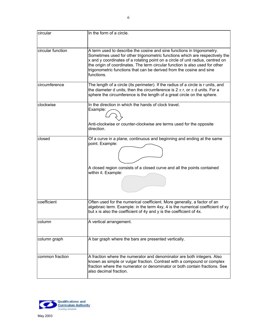| circular          | In the form of a circle.                                                                                                                                                                                                                                                                                                                                                                                      |
|-------------------|---------------------------------------------------------------------------------------------------------------------------------------------------------------------------------------------------------------------------------------------------------------------------------------------------------------------------------------------------------------------------------------------------------------|
| circular function | A term used to describe the cosine and sine functions in trigonometry.<br>Sometimes used for other trigonometric functions which are respectively the<br>x and y coordinates of a rotating point on a circle of unit radius, centred on<br>the origin of coordinates. The term circular function is also used for other<br>trigonometric functions that can be derived from the cosine and sine<br>functions. |
| circumference     | The length of a circle (its perimeter). If the radius of a circle is r units, and<br>the diameter d units, then the circumference is $2 \pi r$ , or $\pi d$ units. For a<br>sphere the circumference is the length of a great circle on the sphere.                                                                                                                                                           |
| clockwise         | In the direction in which the hands of clock travel.<br>Example:<br>Anti-clockwise or counter-clockwise are terms used for the opposite<br>direction.                                                                                                                                                                                                                                                         |
| closed            | Of a curve in a plane, continuous and beginning and ending at the same<br>point. Example:<br>A closed region consists of a closed curve and all the points contained<br>within it. Example:                                                                                                                                                                                                                   |
| coefficient       | Often used for the numerical coefficient. More generally, a factor of an<br>algebraic term. Example: in the term 4xy, 4 is the numerical coefficient of xy<br>but x is also the coefficient of 4y and y is the coefficient of 4x.                                                                                                                                                                             |
| column            | A vertical arrangement.                                                                                                                                                                                                                                                                                                                                                                                       |
| column graph      | A bar graph where the bars are presented vertically.                                                                                                                                                                                                                                                                                                                                                          |
| common fraction   | A fraction where the numerator and denominator are both integers. Also<br>known as simple or vulgar fraction. Contrast with a compound or complex<br>fraction where the numerator or denominator or both contain fractions. See<br>also decimal fraction.                                                                                                                                                     |

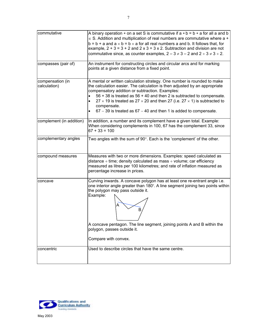| commutative                      | A binary operation $*$ on a set S is commutative if $a * b = b * a$ for all a and b<br>$\epsilon$ S. Addition and multiplication of real numbers are commutative where a +<br>$b = b + a$ and $a \times b = b \times a$ for all real numbers a and b. It follows that, for<br>example, $2 + 3 = 3 + 2$ and $2 \times 3 = 3 \times 2$ . Subtraction and division are not<br>commutative since, as counter examples, $2 - 3 \neq 3 - 2$ and $2 \div 3 \neq 3 \div 2$ .                   |
|----------------------------------|----------------------------------------------------------------------------------------------------------------------------------------------------------------------------------------------------------------------------------------------------------------------------------------------------------------------------------------------------------------------------------------------------------------------------------------------------------------------------------------|
| compasses (pair of)              | An instrument for constructing circles and circular arcs and for marking<br>points at a given distance from a fixed point.                                                                                                                                                                                                                                                                                                                                                             |
| compensation (in<br>calculation) | A mental or written calculation strategy. One number is rounded to make<br>the calculation easier. The calculation is then adjusted by an appropriate<br>compensatory addition or subtraction. Examples:<br>56 + 38 is treated as 56 + 40 and then 2 is subtracted to compensate.<br>$\bullet$<br>27 $\times$ 19 is treated as 27 $\times$ 20 and then 27 (i.e. 27 $\times$ 1) is subtracted to<br>compensate.<br>$67 - 39$ is treated as $67 - 40$ and then 1 is added to compensate. |
| complement (in addition)         | In addition, a number and its complement have a given total. Example:<br>When considering complements in 100, 67 has the complement 33, since<br>$67 + 33 = 100$                                                                                                                                                                                                                                                                                                                       |
| complementary angles             | Two angles with the sum of $90^\circ$ . Each is the 'complement' of the other.                                                                                                                                                                                                                                                                                                                                                                                                         |
| compound measures                | Measures with two or more dimensions. Examples: speed calculated as<br>distance $\div$ time; density calculated as mass $\div$ volume; car efficiency<br>measured as litres per 100 kilometres; and rate of inflation measured as<br>percentage increase in prices.                                                                                                                                                                                                                    |
| concave                          | Curving inwards. A concave polygon has at least one re-entrant angle i.e.<br>one interior angle greater than 180°. A line segment joining two points within<br>the polygon may pass outside it.<br>Example:<br>B<br>A concave pentagon. The line segment, joining points A and B within the<br>polygon, passes outside it.<br>Compare with convex.                                                                                                                                     |
| concentric                       | Used to describe circles that have the same centre.                                                                                                                                                                                                                                                                                                                                                                                                                                    |

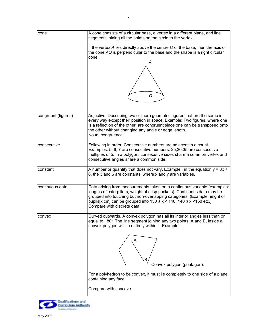| cone                | A cone consists of a circular base, a vertex in a different plane, and line<br>segments joining all the points on the circle to the vertex.                                                                                                                                                                                                      |  |  |
|---------------------|--------------------------------------------------------------------------------------------------------------------------------------------------------------------------------------------------------------------------------------------------------------------------------------------------------------------------------------------------|--|--|
|                     | If the vertex A lies directly above the centre O of the base, then the axis of<br>the cone AO is perpendicular to the base and the shape is a right circular<br>cone.                                                                                                                                                                            |  |  |
|                     | А<br>O                                                                                                                                                                                                                                                                                                                                           |  |  |
|                     |                                                                                                                                                                                                                                                                                                                                                  |  |  |
| congruent (figures) | Adjective. Describing two or more geometric figures that are the same in<br>every way except their position in space. Example: Two figures, where one<br>is a reflection of the other, are congruent since one can be transposed onto<br>the other without changing any angle or edge length.<br>Noun: congruence.                               |  |  |
| consecutive         | Following in order. Consecutive numbers are adjacent in a count.<br>Examples: 5, 6, 7 are consecutive numbers. 25,30,35 are consecutive<br>multiples of 5. In a polygon, consecutive sides share a common vertex and<br>consecutive angles share a common side.                                                                                  |  |  |
| constant            | A number or quantity that does not vary. Example: in the equation $y = 3x +$<br>6, the 3 and 6 are constants, where x and y are variables.                                                                                                                                                                                                       |  |  |
| continuous data     | Data arising from measurements taken on a continuous variable (examples:<br>lengths of caterpillars; weight of crisp packets). Continuous data may be<br>grouped into touching but non-overlapping categories. (Example height of<br>pupils[x cm] can be grouped into $130 \le x < 140$ ; $140 \le x < 150$ etc.)<br>Compare with discrete data. |  |  |
| convex              | Curved outwards. A convex polygon has all its interior angles less than or<br>equal to 180°. The line segment joining any two points, A and B, inside a<br>convex polygon will lie entirely within it. Example:                                                                                                                                  |  |  |
|                     | В<br>Convex polygon (pentagon).                                                                                                                                                                                                                                                                                                                  |  |  |
|                     | For a polyhedron to be convex, it must lie completely to one side of a plane<br>containing any face.                                                                                                                                                                                                                                             |  |  |
|                     | Compare with concave.                                                                                                                                                                                                                                                                                                                            |  |  |

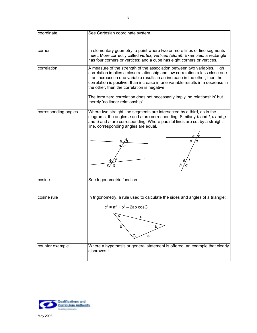| coordinate           | See Cartesian coordinate system.                                                                                                                                                                                                                                                                                                                                                                                                                             |  |
|----------------------|--------------------------------------------------------------------------------------------------------------------------------------------------------------------------------------------------------------------------------------------------------------------------------------------------------------------------------------------------------------------------------------------------------------------------------------------------------------|--|
| corner               | In elementary geometry, a point where two or more lines or line segments<br>meet. More correctly called vertex, vertices (plural). Examples: a rectangle<br>has four corners or vertices; and a cube has eight corners or vertices.                                                                                                                                                                                                                          |  |
| correlation          | A measure of the strength of the association between two variables. High<br>correlation implies a close relationship and low correlation a less close one.<br>If an increase in one variable results in an increase in the other, then the<br>correlation is positive. If an increase in one variable results in a decrease in<br>the other, then the correlation is negative.<br>The term zero correlation does not necessarily imply 'no relationship' but |  |
|                      | merely 'no linear relationship'                                                                                                                                                                                                                                                                                                                                                                                                                              |  |
| corresponding angles | Where two straight-line segments are intersected by a third, as in the<br>diagrams, the angles $a$ and $e$ are corresponding. Similarly $b$ and $f$ , $c$ and $g$<br>and $d$ and $h$ are corresponding. Where parallel lines are cut by a straight<br>line, corresponding angles are equal.                                                                                                                                                                  |  |
|                      |                                                                                                                                                                                                                                                                                                                                                                                                                                                              |  |
|                      |                                                                                                                                                                                                                                                                                                                                                                                                                                                              |  |
| cosine               | See trigonometric function                                                                                                                                                                                                                                                                                                                                                                                                                                   |  |
| cosine rule          | In trigonometry, a rule used to calculate the sides and angles of a triangle:<br>$c^2 = a^2 + b^2 - 2ab \cos C$<br>c                                                                                                                                                                                                                                                                                                                                         |  |
|                      | В<br>a                                                                                                                                                                                                                                                                                                                                                                                                                                                       |  |
| counter example      | Where a hypothesis or general statement is offered, an example that clearly<br>disproves it.                                                                                                                                                                                                                                                                                                                                                                 |  |

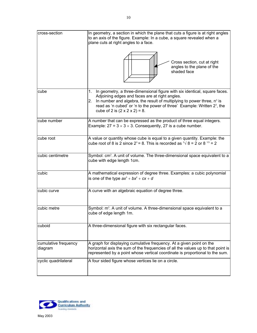| cross-section                   | In geometry, a section in which the plane that cuts a figure is at right angles<br>to an axis of the figure. Example: In a cube, a square revealed when a<br>plane cuts at right angles to a face.<br>Cross section, cut at right<br>angles to the plane of the<br>shaded face                                                                 |
|---------------------------------|------------------------------------------------------------------------------------------------------------------------------------------------------------------------------------------------------------------------------------------------------------------------------------------------------------------------------------------------|
|                                 |                                                                                                                                                                                                                                                                                                                                                |
| cube                            | In geometry, a three-dimensional figure with six identical, square faces.<br>1.<br>Adjoining edges and faces are at right angles.<br>2. In number and algebra, the result of multiplying to power three, $n^3$ is<br>read as 'n cubed' or 'n to the power of three' Example: Written $2^3$ , the<br>cube of 2 is $(2 \times 2 \times 2) = 8$ . |
| cube number                     | A number that can be expressed as the product of three equal integers.<br>Example: $27 = 3 \times 3 \times 3$ . Consequently, 27 is a cube number.                                                                                                                                                                                             |
| cube root                       | A value or quantity whose cube is equal to a given quantity. Example: the<br>cube root of 8 is 2 since $2^3$ = 8. This is recorded as $\sqrt[3]{8}$ = 2 or 8 $\sqrt[13]{8}$ = 2                                                                                                                                                                |
| cubic centimetre                | Symbol: cm <sup>3</sup> . A unit of volume. The three-dimensional space equivalent to a<br>cube with edge length 1cm.                                                                                                                                                                                                                          |
| cubic                           | A mathematical expression of degree three. Examples: a cubic polynomial<br>is one of the type $ax^3 + bx^2 + cx + d$                                                                                                                                                                                                                           |
| cubic curve                     | A curve with an algebraic equation of degree three.                                                                                                                                                                                                                                                                                            |
| cubic metre                     | Symbol: m <sup>3</sup> . A unit of volume. A three-dimensional space equivalent to a<br>cube of edge length 1m.                                                                                                                                                                                                                                |
| cuboid                          | A three-dimensional figure with six rectangular faces.                                                                                                                                                                                                                                                                                         |
| cumulative frequency<br>diagram | A graph for displaying cumulative frequency. At a given point on the<br>horizontal axis the sum of the frequencies of all the values up to that point is<br>represented by a point whose vertical coordinate is proportional to the sum.                                                                                                       |
| cyclic quadrilateral            | A four sided figure whose vertices lie on a circle.                                                                                                                                                                                                                                                                                            |

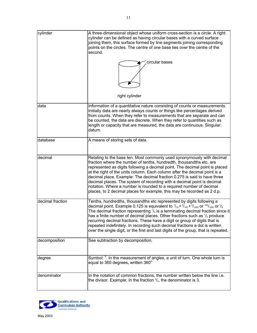<span id="page-11-0"></span>

| cylinder         | A three-dimensional object whose uniform cross-section is a circle. A right<br>cylinder can be defined as having circular bases with a curved surface<br>joining them, this surface formed by line segments joining corresponding<br>points on the circles. The centre of one base lies over the centre of the<br>second.<br>circular bases                                                                                                                                                                                                                                                                           |
|------------------|-----------------------------------------------------------------------------------------------------------------------------------------------------------------------------------------------------------------------------------------------------------------------------------------------------------------------------------------------------------------------------------------------------------------------------------------------------------------------------------------------------------------------------------------------------------------------------------------------------------------------|
|                  |                                                                                                                                                                                                                                                                                                                                                                                                                                                                                                                                                                                                                       |
|                  | right cylinder                                                                                                                                                                                                                                                                                                                                                                                                                                                                                                                                                                                                        |
| data             | Information of a quantitative nature consisting of counts or measurements.<br>Initially data are nearly always counts or things like percentages derived<br>from counts. When they refer to measurements that are separate and can<br>be counted, the data are discrete. When they refer to quantities such as<br>length or capacity that are measured, the data are continuous. Singular:<br>datum.                                                                                                                                                                                                                  |
| database         | A means of storing sets of data.                                                                                                                                                                                                                                                                                                                                                                                                                                                                                                                                                                                      |
| decimal          | Relating to the base ten. Most commonly used synonymously with decimal<br>fraction where the number of tenths, hundredth, thousandths etc. are<br>represented as digits following a decimal point. The decimal point is placed<br>at the right of the units column. Each column after the decimal point is a<br>decimal place. Example: The decimal fraction 0.275 is said to have three<br>decimal places. The system of recording with a decimal point is decimal<br>notation. Where a number is rounded to a required number of decimal<br>places, to 2 decimal places for example, this may be recorded as 2 d.p. |
| decimal fraction | Tenths, hundredths, thousandths etc represented by digits following a<br>decimal point. Example 0.125 is equivalent to $1/10 + 2/100 + 5/1000$ or $125/1000$ or $1/8$ .<br>The decimal fraction representing $\frac{1}{8}$ is a terminating decimal fraction since it<br>has a finite number of decimal places. Other fractions such as $\frac{1}{3}$ produce<br>recurring decimal fractions. These have a digit or group of digits that is<br>repeated indefinitely. In recording such decimal fractions a dot is written<br>over the single digit, or the first and last digits of the group, that is repeated.     |
| decomposition    | See subtraction by decomposition.                                                                                                                                                                                                                                                                                                                                                                                                                                                                                                                                                                                     |
| degree           | Symbol: <sup>o</sup> . In the measurement of angles, a unit of turn. One whole turn is<br>equal to 360 degrees, written 360°                                                                                                                                                                                                                                                                                                                                                                                                                                                                                          |
| denominator      | In the notation of common fractions, the number written below the line i.e.<br>the divisor. Example: In the fraction $\frac{2}{3}$ , the denominator is 3.                                                                                                                                                                                                                                                                                                                                                                                                                                                            |

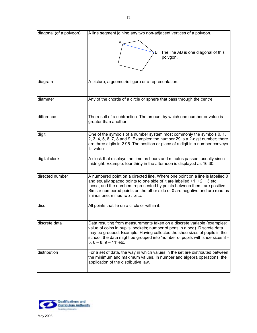| diagonal (of a polygon) | A line segment joining any two non-adjacent vertices of a polygon.                                                                                                                                                                                                                                                                                       |
|-------------------------|----------------------------------------------------------------------------------------------------------------------------------------------------------------------------------------------------------------------------------------------------------------------------------------------------------------------------------------------------------|
|                         | The line AB is one diagonal of this<br>B<br>polygon.                                                                                                                                                                                                                                                                                                     |
| diagram                 | A picture, a geometric figure or a representation.                                                                                                                                                                                                                                                                                                       |
| diameter                | Any of the chords of a circle or sphere that pass through the centre.                                                                                                                                                                                                                                                                                    |
| difference              | The result of a subtraction. The amount by which one number or value is<br>greater than another.                                                                                                                                                                                                                                                         |
| digit                   | One of the symbols of a number system most commonly the symbols 0, 1,<br>2, 3, 4, 5, 6, 7, 8 and 9. Examples: the number 29 is a 2-digit number; there<br>are three digits in 2.95. The position or place of a digit in a number conveys<br>its value.                                                                                                   |
| digital clock           | A clock that displays the time as hours and minutes passed, usually since<br>midnight. Example: four thirty in the afternoon is displayed as 16:30.                                                                                                                                                                                                      |
| directed number         | A numbered point on a directed line. Where one point on a line is labelled 0<br>and equally spaced points to one side of it are labelled $+1$ , $+2$ , $+3$ etc.<br>these, and the numbers represented by points between them, are positive.<br>Similar numbered points on the other side of 0 are negative and are read as<br>minus one, minus two etc. |
| disc                    | All points that lie on a circle or within it.                                                                                                                                                                                                                                                                                                            |
| discrete data           | Data resulting from measurements taken on a discrete variable (examples:<br>value of coins in pupils' pockets; number of peas in a pod). Discrete data<br>may be grouped. Example: Having collected the shoe sizes of pupils in the<br>school, the data might be grouped into 'number of pupils with shoe sizes 3 -<br>$5, 6 - 8, 9 - 11$ ' etc.         |
| distribution            | For a set of data, the way in which values in the set are distributed between<br>the minimum and maximum values. In number and algebra operations, the<br>application of the distributive law.                                                                                                                                                           |

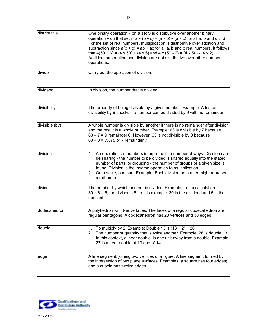<span id="page-13-0"></span>

| distributive   | One binary operation * on a set S is distributive over another binary<br>operation • on that set if $a * (b \cdot c) = (a * b) \cdot (a * c)$ for all a, b and $c \in S$ .<br>For the set of real numbers, multiplication is distributive over addition and<br>subtraction since $a(b + c) = ab + ac$ for all a, b and c real numbers. It follows<br>that $4(50 + 6) = (4 \times 50) + (4 \times 6)$ and $4 \times (50 - 2) = (4 \times 50) - (4 \times 2)$ .<br>Addition, subtraction and division are not distributive over other number<br>operations. |
|----------------|-----------------------------------------------------------------------------------------------------------------------------------------------------------------------------------------------------------------------------------------------------------------------------------------------------------------------------------------------------------------------------------------------------------------------------------------------------------------------------------------------------------------------------------------------------------|
| divide         | Carry out the operation of division.                                                                                                                                                                                                                                                                                                                                                                                                                                                                                                                      |
| dividend       | In division, the number that is divided.                                                                                                                                                                                                                                                                                                                                                                                                                                                                                                                  |
| divisibility   | The property of being divisible by a given number. Example: A test of<br>divisibility by 9 checks if a number can be divided by 9 with no remainder.                                                                                                                                                                                                                                                                                                                                                                                                      |
| divisible (by) | A whole number is divisible by another if there is no remainder after division<br>and the result is a whole number. Example: 63 is divisible by 7 because<br>$63 \div 7 = 9$ remainder 0. However, 63 is not divisible by 8 because<br>$63 \div 8 = 7.875$ or 7 remainder 7.                                                                                                                                                                                                                                                                              |
| division       | An operation on numbers interpreted in a number of ways. Division can<br>1.<br>be sharing - the number to be divided is shared equally into the stated<br>number of parts; or grouping - the number of groups of a given size is<br>found. Division is the inverse operation to multiplication.<br>2. On a scale, one part. Example: Each division on a ruler might represent<br>a millimetre.                                                                                                                                                            |
| divisor        | The number by which another is divided. Example: In the calculation<br>$30 \div 6 = 5$ , the divisor is 6. In this example, 30 is the dividend and 5 is the<br>quotient.                                                                                                                                                                                                                                                                                                                                                                                  |
| dodecahedron   | A polyhedron with twelve faces. The faces of a regular dodecahedron are<br>regular pentagons. A dodecahedron has 20 vertices and 30 edges.                                                                                                                                                                                                                                                                                                                                                                                                                |
| double         | To multiply by 2. Example: Double 13 is $(13 \times 2) = 26$ .<br>1.<br>2.<br>The number or quantity that is twice another. Example: 26 is double 13.<br>In this context, a 'near double' is one unit away from a double. Example:<br>27 is a near double of 13 and of 14.                                                                                                                                                                                                                                                                                |
| edge           | A line segment, joining two vertices of a figure. A line segment formed by<br>the intersection of two plane surfaces. Examples: a square has four edges;<br>and a cuboid has twelve edges.                                                                                                                                                                                                                                                                                                                                                                |

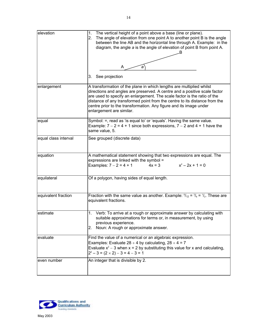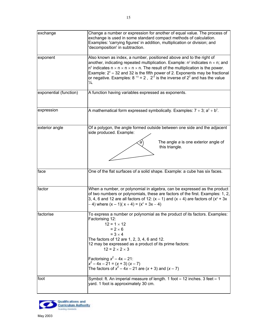<span id="page-15-0"></span>

| exchange               | Change a number or expression for another of equal value. The process of<br>exchange is used in some standard compact methods of calculation.<br>Examples: 'carrying figures' in addition, multiplication or division; and<br>'decomposition' in subtraction.                                                                                                                                                                                                                                       |
|------------------------|-----------------------------------------------------------------------------------------------------------------------------------------------------------------------------------------------------------------------------------------------------------------------------------------------------------------------------------------------------------------------------------------------------------------------------------------------------------------------------------------------------|
| exponent               | Also known as index, a number, positioned above and to the right of<br>another, indicating repeated multiplication. Example: $n^2$ indicates $n \times n$ ; and<br>$n5$ indicates $n \times n \times n \times n \times n$ . The result of the multiplication is the power.<br>Example: $2^5$ = 32 and 32 is the fifth power of 2. Exponents may be fractional<br>or negative. Examples: 8 <sup>1/3</sup> = 2, 2 <sup>-2</sup> is the inverse of 2 <sup>2</sup> and has the value<br>$\frac{1}{4}$ . |
| exponential (function) | A function having variables expressed as exponents.                                                                                                                                                                                                                                                                                                                                                                                                                                                 |
| expression             | A mathematical form expressed symbolically. Examples: $7 + 3$ ; $a^2 + b^2$ .                                                                                                                                                                                                                                                                                                                                                                                                                       |
| exterior angle         | Of a polygon, the angle formed outside between one side and the adjacent<br>side produced. Example:<br>The angle a is one exterior angle of<br>а<br>this triangle.                                                                                                                                                                                                                                                                                                                                  |
| face                   | One of the flat surfaces of a solid shape. Example: a cube has six faces.                                                                                                                                                                                                                                                                                                                                                                                                                           |
| factor                 | When a number, or polynomial in algebra, can be expressed as the product<br>of two numbers or polynomials, these are factors of the first. Examples: 1, 2,<br>3, 4, 6 and 12 are all factors of 12: $(x - 1)$ and $(x + 4)$ are factors of $(x^2 + 3x)$<br>$- 4$ ) where $(x - 1)(x + 4) = (x2 + 3x - 4)$                                                                                                                                                                                           |
| factorise              | To express a number or polynomial as the product of its factors. Examples:<br>Factorising 12:<br>$12 = 1 \times 12$<br>$= 2 \times 6$<br>$= 3 \times 4$<br>The factors of 12 are 1, 2, 3, 4, 6 and 12.<br>12 may be expressed as a product of its prime factors:<br>$12 = 2 \times 2 \times 3$<br>Factorising $x^2 - 4x - 21$ :<br>$x^{2}-4x-21 = (x + 3) (x - 7)$<br>The factors of $x^2 - 4x - 21$ are $(x + 3)$ and $(x - 7)$                                                                    |
| foot                   | Symbol: ft. An imperial measure of length. 1 foot = 12 inches. 3 feet = 1<br>yard. 1 foot is approximately 30 cm.                                                                                                                                                                                                                                                                                                                                                                                   |

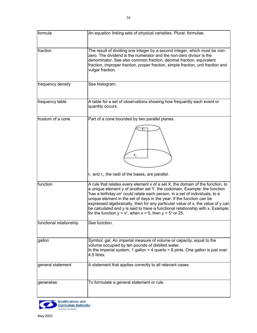<span id="page-16-0"></span>

| formula                 | An equation linking sets of physical variables. Plural: formulae.                                                                                                                                                                                                                                                                                                                                                                                                                                                                                            |
|-------------------------|--------------------------------------------------------------------------------------------------------------------------------------------------------------------------------------------------------------------------------------------------------------------------------------------------------------------------------------------------------------------------------------------------------------------------------------------------------------------------------------------------------------------------------------------------------------|
| fraction                | The result of dividing one integer by a second integer, which must be non-<br>zero. The dividend is the numerator and the non-zero divisor is the<br>denominator. See also common fraction, decimal fraction, equivalent<br>fraction, improper fraction, proper fraction, simple fraction, unit fraction and<br>vulgar fraction.                                                                                                                                                                                                                             |
| frequency density       | See histogram.                                                                                                                                                                                                                                                                                                                                                                                                                                                                                                                                               |
| frequency table         | A table for a set of observations showing how frequently each event or<br>quantity occurs.                                                                                                                                                                                                                                                                                                                                                                                                                                                                   |
| frustum of a cone       | Part of a cone bounded by two parallel planes.<br>r <sub>2</sub><br>$r_1$ and $r_2$ , the radii of the bases, are parallel.                                                                                                                                                                                                                                                                                                                                                                                                                                  |
| function                | A rule that relates every element x of a set X, the domain of the function, to<br>a unique element y of another set Y, the codomain. Example: the function<br>'has a birthday on' could relate each person, in a set of individuals, to a<br>unique element in the set of days in the year. If the function can be<br>expressed algebraically, then for any particular value of x, the value of y can<br>be calculated and y is said to have a functional relationship with x. Example:<br>for the function $y = x^2$ , when $x = 5$ , then $y = 5^2$ or 25. |
| functional relationship | See function.                                                                                                                                                                                                                                                                                                                                                                                                                                                                                                                                                |
| gallon                  | Symbol: gal. An imperial measure of volume or capacity, equal to the<br>volume occupied by ten pounds of distilled water.<br>In the imperial system, 1 gallon = 4 quarts = 8 pints. One gallon is just over<br>4.5 litres.                                                                                                                                                                                                                                                                                                                                   |
| general statement       | A statement that applies correctly to all relevant cases.                                                                                                                                                                                                                                                                                                                                                                                                                                                                                                    |
| generalise              | To formulate a general statement or rule.                                                                                                                                                                                                                                                                                                                                                                                                                                                                                                                    |

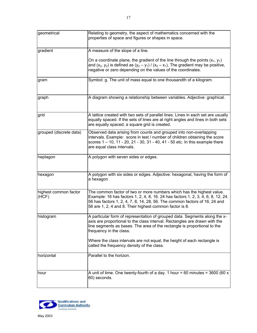<span id="page-17-0"></span>

| geometrical                    | Relating to geometry, the aspect of mathematics concerned with the<br>properties of space and figures or shapes in space.                                                                                                                                                                          |
|--------------------------------|----------------------------------------------------------------------------------------------------------------------------------------------------------------------------------------------------------------------------------------------------------------------------------------------------|
| gradient                       | A measure of the slope of a line.                                                                                                                                                                                                                                                                  |
|                                | On a coordinate plane, the gradient of the line through the points $(x_1, y_1)$<br>and $(x_2, y_2)$ is defined as $(y_2 - y_1) / (x_2 - x_1)$ . The gradient may be positive,<br>negative or zero depending on the values of the coordinates.                                                      |
| gram                           | Symbol: g. The unit of mass equal to one thousandth of a kilogram.                                                                                                                                                                                                                                 |
| graph                          | A diagram showing a relationship between variables. Adjective: graphical.                                                                                                                                                                                                                          |
| grid                           | A lattice created with two sets of parallel lines. Lines in each set are usually<br>equally spaced. If the sets of lines are at right angles and lines in both sets<br>are equally spaced, a square grid is created.                                                                               |
| grouped (discrete data)        | Observed data arising from counts and grouped into non-overlapping<br>intervals. Example: score in test / number of children obtaining the score<br>scores 1 – 10, 11 - 20, 21 - 30, 31 - 40, 41 - 50 etc. In this example there<br>are equal class intervals.                                     |
| heptagon                       | A polygon with seven sides or edges.                                                                                                                                                                                                                                                               |
| hexagon                        | A polygon with six sides or edges. Adjective: hexagonal, having the form of<br>a hexagon                                                                                                                                                                                                           |
| highest common factor<br>(HCF) | The common factor of two or more numbers which has the highest value.<br>Example: 16 has factors 1, 2, 4, 8, 16. 24 has factors 1, 2, 3, 4, 6, 8, 12, 24.<br>56 has factors 1, 2, 4, 7, 8, 14, 28, 56. The common factors of 16, 24 and<br>56 are 1, 2, 4 and 8. Their highest common factor is 8. |
| histogram                      | A particular form of representation of grouped data. Segments along the x-<br>axis are proportional to the class interval. Rectangles are drawn with the<br>line segments as bases. The area of the rectangle is proportional to the<br>frequency in the class.                                    |
|                                | Where the class intervals are not equal, the height of each rectangle is<br>called the frequency density of the class.                                                                                                                                                                             |
| horizontal                     | Parallel to the horizon.                                                                                                                                                                                                                                                                           |

hour  $\vert A \vert$  unit of time. One twenty-fourth of a day. 1 hour = 60 minutes = 3600 (60 x

60) seconds.

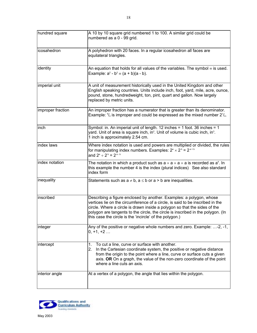<span id="page-18-0"></span>

| hundred square     | A 10 by 10 square grid numbered 1 to 100. A similar grid could be<br>numbered as a 0 - 99 grid.                                                                                                                                                                 |
|--------------------|-----------------------------------------------------------------------------------------------------------------------------------------------------------------------------------------------------------------------------------------------------------------|
| licosahedron       | A polyhedron with 20 faces. In a regular icosahedron all faces are<br>equilateral triangles.                                                                                                                                                                    |
| identity           | An equation that holds for all values of the variables. The symbol $\equiv$ is used.<br>Example: $a^2 - b^2 = (a + b)(a - b)$ .                                                                                                                                 |
| imperial unit      | A unit of measurement historically used in the United Kingdom and other<br>English speaking countries. Units include inch, foot, yard, mile, acre, ounce,<br>pound, stone, hundredweight, ton, pint, quart and gallon. Now largely<br>replaced by metric units. |
| limnroner fraction | An improper fraction has a numerator that is greater than its denominator                                                                                                                                                                                       |

|                   | pound, stone, hundredweight, ton, pint, quart and gallon. Now largely<br>replaced by metric units.                                                                                                                                                                                                                                                                              |
|-------------------|---------------------------------------------------------------------------------------------------------------------------------------------------------------------------------------------------------------------------------------------------------------------------------------------------------------------------------------------------------------------------------|
| improper fraction | An improper fraction has a numerator that is greater than its denominator.<br>Example: $\frac{9}{4}$ is improper and could be expressed as the mixed number $2\frac{1}{4}$ .                                                                                                                                                                                                    |
| inch              | Symbol: in. An imperial unit of length. 12 inches = 1 foot. 36 inches = 1<br>yard. Unit of area is square inch, in <sup>2</sup> . Unit of volume is cubic inch, in <sup>3</sup> .<br>1 inch is approximately 2.54 cm.                                                                                                                                                           |
| index laws        | Where index notation is used and powers are multiplied or divided, the rules<br>for manipulating index numbers. Examples: $2^a \times 2^b = 2^{a+b}$<br>and $2^a \div 2^b = 2^{a-b}$                                                                                                                                                                                            |
| index notation    | The notation in which a product such as $a \times a \times a \times a$ is recorded as $a^4$ . In<br>this example the number 4 is the index (plural indices) See also standard<br>index form                                                                                                                                                                                     |
| inequality        | Statements such as $a \ne b$ , $a \le b$ or $a > b$ are inequalities.                                                                                                                                                                                                                                                                                                           |
| inscribed         | Describing a figure enclosed by another. Examples: a polygon, whose<br>vertices lie on the circumference of a circle, is said to be inscribed in the<br>circle. Where a circle is drawn inside a polygon so that the sides of the<br>polygon are tangents to the circle, the circle is inscribed in the polygon. (In<br>this case the circle is the 'incircle' of the polygon.) |
| integer           | Any of the positive or negative whole numbers and zero. Example: -2, -1,<br>$0, +1, +2$                                                                                                                                                                                                                                                                                         |
| intercept         | To cut a line, curve or surface with another.<br>1.<br>In the Cartesian coordinate system, the positive or negative distance<br>2.<br>from the origin to the point where a line, curve or surface cuts a given<br>axis. OR On a graph, the value of the non-zero coordinate of the point<br>where a line cuts an axis.                                                          |
| interior angle    | At a vertex of a polygon, the angle that lies within the polygon.                                                                                                                                                                                                                                                                                                               |

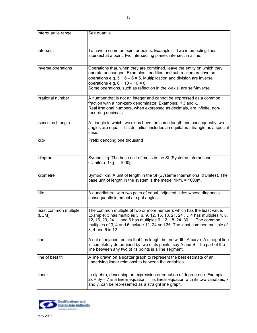<span id="page-19-0"></span>

| interquartile range            | See quartile                                                                                                                                                                                                                                                                                                                                     |
|--------------------------------|--------------------------------------------------------------------------------------------------------------------------------------------------------------------------------------------------------------------------------------------------------------------------------------------------------------------------------------------------|
| intersect                      | To have a common point or points. Examples: Two intersecting lines<br>intersect at a point; two intersecting planes intersect in a line.                                                                                                                                                                                                         |
| inverse operations             | Operations that, when they are combined, leave the entity on which they<br>operate unchanged. Examples: addition and subtraction are inverse<br>operations e.g. $5 + 6 - 6 = 5$ . Multiplication and division are inverse<br>operations e.g. $6 \times 10 \div 10 = 6$ .<br>Some operations, such as reflection in the x-axis, are self-inverse. |
| irrational number              | A number that is not an integer and cannot be expressed as a common<br>fraction with a non-zero denominator. Examples: $\sqrt{3}$ and $\pi$ .<br>Real irrational numbers, when expressed as decimals, are infinite, non-<br>recurring decimals.                                                                                                  |
| isosceles triangle             | A triangle in which two sides have the same length and consequently two<br>angles are equal. This definition includes an equilateral triangle as a special<br>case.                                                                                                                                                                              |
| kilo-                          | Prefix denoting one thousand                                                                                                                                                                                                                                                                                                                     |
| kilogram                       | Symbol: kg. The base unit of mass in the SI (Système International<br>d'Unités). 1kg. = 1000g.                                                                                                                                                                                                                                                   |
| kilometre                      | Symbol: km. A unit of length in the SI (Système International d'Unités). The<br>base unit of length in the system is the metre. 1km. = 1000m.                                                                                                                                                                                                    |
| kite                           | A quadrilateral with two pairs of equal, adjacent sides whose diagonals<br>consequently intersect at right angles.                                                                                                                                                                                                                               |
| least common multiple<br>(LCM) | The common multiple of two or more numbers which has the least value.<br>Example: 3 has multiples 3, 6, 9, 12, 15, 18, 21, 24 , 4 has multiples 4, 8,<br>12, 16, 20, 24  and 6 has multiples 6, 12, 18, 24, 30  The common<br>multiples of 3, 4 and 6 include 12, 24 and 36. The least common multiple of<br>3, 4 and 6 is 12.                   |
| line                           | A set of adjacent points that has length but no width. A curve. A straight line<br>is completely determined by two of its points, say A and B. The part of the<br>line between any two of its points is a line segment.                                                                                                                          |
| line of best fit               | A line drawn on a scatter graph to represent the best estimate of an<br>underlying linear relationship between the variables.                                                                                                                                                                                                                    |
| linear                         | In algebra, describing an expression or equation of degree one. Example:<br>$2x + 3y = 7$ is a linear equation. This linear equation with its two variables, x<br>and y, can be represented as a straight line graph.                                                                                                                            |

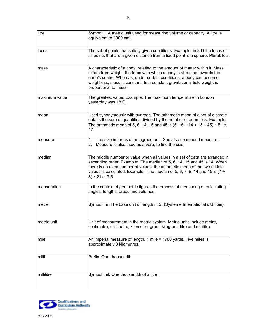<span id="page-20-0"></span>

| litre         | Symbol: I. A metric unit used for measuring volume or capacity. A litre is<br>equivalent to 1000 cm <sup>3</sup> .                                                                                                                                                                                                                          |
|---------------|---------------------------------------------------------------------------------------------------------------------------------------------------------------------------------------------------------------------------------------------------------------------------------------------------------------------------------------------|
| locus         | The set of points that satisfy given conditions. Example: in 3-D the locus of<br>all points that are a given distance from a fixed point is a sphere. Plural: loci.                                                                                                                                                                         |
| mass          | A characteristic of a body, relating to the amount of matter within it. Mass<br>differs from weight, the force with which a body is attracted towards the<br>earth's centre. Whereas, under certain conditions, a body can become<br>weightless, mass is constant. In a constant gravitational field weight is<br>proportional to mass.     |
| maximum value | The greatest value. Example: The maximum temperature in London<br>yesterday was 18°C.                                                                                                                                                                                                                                                       |
| mean          | Used synonymously with average. The arithmetic mean of a set of discrete<br>data is the sum of quantities divided by the number of quantities. Example:<br>The arithmetic mean of 5, 6, 14, 15 and 45 is $(5 + 6 + 14 + 15 + 45) \div 5$ i.e.<br>17.                                                                                        |
| measure       | The size in terms of an agreed unit. See also compound measure.<br>1.<br>Measure is also used as a verb, to find the size.<br>2.                                                                                                                                                                                                            |
| median        | The middle number or value when all values in a set of data are arranged in<br>ascending order. Example: The median of 5, 6, 14, 15 and 45 is 14. When<br>there is an even number of values, the arithmetic mean of the two middle<br>values is calculated. Example: The median of 5, 6, 7, 8, 14 and 45 is $(7 +$<br>$8) \div 2$ i.e. 7.5. |
| mensuration   | In the context of geometric figures the process of measuring or calculating<br>angles, lengths, areas and volumes.                                                                                                                                                                                                                          |
| metre         | Symbol: m. The base unit of length in SI (Système International d'Unités).                                                                                                                                                                                                                                                                  |
| metric unit   | Unit of measurement in the metric system. Metric units include metre,<br>centimetre, millimetre, kilometre, gram, kilogram, litre and millilitre.                                                                                                                                                                                           |
| mile          | An imperial measure of length. 1 mile = 1760 yards. Five miles is<br>approximately 8 kilometres.                                                                                                                                                                                                                                            |
| milli-        | Prefix. One-thousandth.                                                                                                                                                                                                                                                                                                                     |
| millilitre    | Symbol: ml. One thousandth of a litre.                                                                                                                                                                                                                                                                                                      |

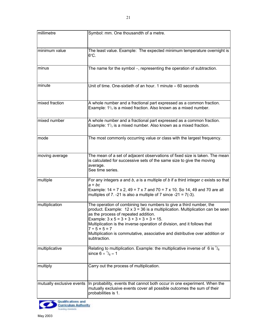| millimetre                | Symbol: mm. One thousandth of a metre.                                                                                                                                                                                                                                                                                                                                                                                                              |
|---------------------------|-----------------------------------------------------------------------------------------------------------------------------------------------------------------------------------------------------------------------------------------------------------------------------------------------------------------------------------------------------------------------------------------------------------------------------------------------------|
|                           |                                                                                                                                                                                                                                                                                                                                                                                                                                                     |
| minimum value             | The least value. Example: The expected minimum temperature overnight is<br>$6^{\circ}$ C.                                                                                                                                                                                                                                                                                                                                                           |
| minus                     | The name for the symbol -, representing the operation of subtraction.                                                                                                                                                                                                                                                                                                                                                                               |
| minute                    | Unit of time. One-sixtieth of an hour. 1 minute $= 60$ seconds                                                                                                                                                                                                                                                                                                                                                                                      |
| mixed fraction            | A whole number and a fractional part expressed as a common fraction.<br>Example: $1^2$ / <sub>3</sub> is a mixed fraction. Also known as a mixed number.                                                                                                                                                                                                                                                                                            |
| mixed number              | A whole number and a fractional part expressed as a common fraction.<br>Example: $1^2$ / <sub>3</sub> is a mixed number. Also known as a mixed fraction.                                                                                                                                                                                                                                                                                            |
| mode                      | The most commonly occurring value or class with the largest frequency.                                                                                                                                                                                                                                                                                                                                                                              |
| moving average            | The mean of a set of adjacent observations of fixed size is taken. The mean<br>is calculated for successive sets of the same size to give the moving<br>average.<br>See time series.                                                                                                                                                                                                                                                                |
| multiple                  | For any integers $a$ and $b$ , $a$ is a multiple of $b$ if a third integer $c$ exists so that<br>$a = bc$<br>Example: $14 = 7 \times 2$ , $49 = 7 \times 7$ and $70 = 7 \times 10$ . So 14, 49 and 70 are all<br>multiples of 7. -21 is also a multiple of 7 since -21 = $7(-3)$ .                                                                                                                                                                  |
| multiplication            | The operation of combining two numbers to give a third number, the<br>product. Example: $12 \times 3 = 36$ is a multiplication. Multiplication can be seen<br>as the process of repeated addition.<br>Example: $3 \times 5 = 3 + 3 + 3 + 3 + 3 = 15$<br>Multiplication is the inverse operation of division, and it follows that<br>$7 ÷ 5 × 5 = 7$<br>Multiplication is commutative, associative and distributive over addition or<br>subtraction. |
| multiplicative            | Relating to multiplication. Example: the multiplicative inverse of 6 is $\frac{1}{6}$<br>since 6 $\times$ $^{1}/_{6}$ = 1                                                                                                                                                                                                                                                                                                                           |
| multiply                  | Carry out the process of multiplication.                                                                                                                                                                                                                                                                                                                                                                                                            |
| mutually exclusive events | In probability, events that cannot both occur in one experiment. When the<br>mutually exclusive events cover all possible outcomes the sum of their<br>probabilities is 1.                                                                                                                                                                                                                                                                          |
| Qualifications and        |                                                                                                                                                                                                                                                                                                                                                                                                                                                     |

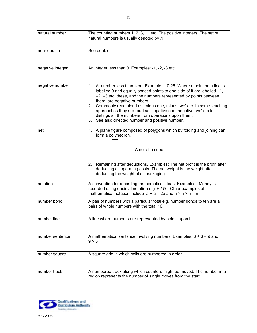<span id="page-22-0"></span>

| natural number   | The counting numbers 1, 2, 3,  etc. The positive integers. The set of                                                                               |
|------------------|-----------------------------------------------------------------------------------------------------------------------------------------------------|
|                  | natural numbers is usually denoted by N.                                                                                                            |
|                  |                                                                                                                                                     |
| near double      | See double.                                                                                                                                         |
|                  |                                                                                                                                                     |
| negative integer | An integer less than 0. Examples: -1, -2, -3 etc.                                                                                                   |
|                  |                                                                                                                                                     |
|                  |                                                                                                                                                     |
| negative number  | 1. At number less than zero. Example: - 0.25. Where a point on a line is                                                                            |
|                  | labelled 0 and equally spaced points to one side of it are labelled $-1$ ,<br>$-2$ , $-3$ etc, these, and the numbers represented by points between |
|                  | them, are negative numbers                                                                                                                          |
|                  | Commonly read aloud as 'minus one, minus two' etc. In some teaching<br>2.                                                                           |
|                  | approaches they are read as 'negative one, negative two' etc to                                                                                     |
|                  | distinguish the numbers from operations upon them.<br>See also directed number and positive number.<br>3.                                           |
|                  |                                                                                                                                                     |
| net              | 1. A plane figure composed of polygons which by folding and joining can                                                                             |
|                  | form a polyhedron.                                                                                                                                  |
|                  |                                                                                                                                                     |
|                  | A net of a cube                                                                                                                                     |
|                  |                                                                                                                                                     |
|                  | Remaining after deductions. Examples: The net profit is the profit after<br>2.                                                                      |
|                  | deducting all operating costs. The net weight is the weight after                                                                                   |
|                  | deducting the weight of all packaging.                                                                                                              |
| notation         | A convention for recording mathematical ideas. Examples: Money is                                                                                   |
|                  | recorded using decimal notation e.g. £2.50 Other examples of                                                                                        |
|                  | mathematical notation include $a + a = 2a$ and $n \times n \times n = n^3$                                                                          |
| number bond      | A pair of numbers with a particular total e.g. number bonds to ten are all                                                                          |
|                  | pairs of whole numbers with the total 10.                                                                                                           |
| number line      | A line where numbers are represented by points upon it.                                                                                             |
|                  |                                                                                                                                                     |
|                  |                                                                                                                                                     |
| number sentence  | A mathematical sentence involving numbers. Examples: $3 + 6 = 9$ and                                                                                |
|                  | 9 > 3                                                                                                                                               |
|                  |                                                                                                                                                     |
| number square    | A square grid in which cells are numbered in order.                                                                                                 |
|                  |                                                                                                                                                     |
|                  |                                                                                                                                                     |
| number track     | A numbered track along which counters might be moved. The number in a<br>region represents the number of single moves from the start.               |
|                  |                                                                                                                                                     |
|                  |                                                                                                                                                     |

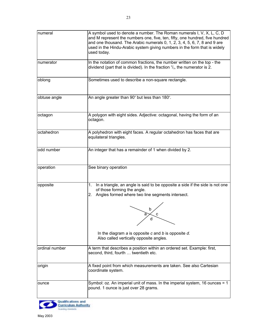<span id="page-23-0"></span>

| numeral        | A symbol used to denote a number. The Roman numerals I, V, X, L, C, D<br>and M represent the numbers one, five, ten, fifty, one hundred, five hundred<br>and one thousand. The Arabic numerals 0, 1, 2, 3, 4, 5, 6, 7, 8 and 9 are<br>used in the Hindu-Arabic system giving numbers in the form that is widely<br>used today. |
|----------------|--------------------------------------------------------------------------------------------------------------------------------------------------------------------------------------------------------------------------------------------------------------------------------------------------------------------------------|
| numerator      | In the notation of common fractions, the number written on the top - the<br>dividend (part that is divided). In the fraction $\frac{2}{3}$ , the numerator is 2.                                                                                                                                                               |
| oblong         | Sometimes used to describe a non-square rectangle.                                                                                                                                                                                                                                                                             |
| obtuse angle   | An angle greater than 90° but less than 180°.                                                                                                                                                                                                                                                                                  |
| octagon        | A polygon with eight sides. Adjective: octagonal, having the form of an<br>octagon.                                                                                                                                                                                                                                            |
| octahedron     | A polyhedron with eight faces. A regular octahedron has faces that are<br>equilateral triangles.                                                                                                                                                                                                                               |
| odd number     | An integer that has a remainder of 1 when divided by 2.                                                                                                                                                                                                                                                                        |
| operation      | See binary operation                                                                                                                                                                                                                                                                                                           |
| opposite       | In a triangle, an angle is said to be opposite a side if the side is not one<br>1.<br>of those forming the angle.<br>Angles formed where two line segments intersect.<br>2.<br>b<br>d<br>In the diagram $a$ is opposite $c$ and $b$ is opposite $d$ .<br>Also called vertically opposite angles.                               |
| ordinal number | A term that describes a position within an ordered set. Example: first,<br>second, third, fourth  twentieth etc.                                                                                                                                                                                                               |
| origin         | A fixed point from which measurements are taken. See also Cartesian<br>coordinate system.                                                                                                                                                                                                                                      |
| ounce          | Symbol: oz. An imperial unit of mass. In the imperial system, 16 ounces = 1<br>pound. 1 ounce is just over 28 grams.                                                                                                                                                                                                           |

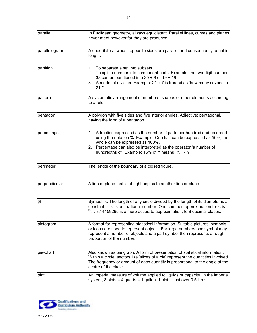<span id="page-24-0"></span>

| parallel      | In Euclidean geometry, always equidistant. Parallel lines, curves and planes<br>never meet however far they are produced.                                                                                                                                                                                               |
|---------------|-------------------------------------------------------------------------------------------------------------------------------------------------------------------------------------------------------------------------------------------------------------------------------------------------------------------------|
| parallelogram | A quadrilateral whose opposite sides are parallel and consequently equal in<br>length.                                                                                                                                                                                                                                  |
| partition     | To separate a set into subsets.<br>1.<br>To split a number into component parts. Example: the two-digit number<br>2.<br>38 can be partitioned into $30 + 8$ or $19 + 19$ .<br>3. A model of division. Example: $21 \div 7$ is treated as 'how many sevens in<br>21?                                                     |
| pattern       | A systematic arrangement of numbers, shapes or other elements according<br>to a rule.                                                                                                                                                                                                                                   |
| pentagon      | A polygon with five sides and five interior angles. Adjective: pentagonal,<br>having the form of a pentagon.                                                                                                                                                                                                            |
| percentage    | A fraction expressed as the number of parts per hundred and recorded<br>1.<br>using the notation %. Example: One half can be expressed as 50%; the<br>whole can be expressed as 100%.<br>2. Percentage can also be interpreted as the operator 'a number of<br>hundredths of. Example: 15% of Y means $15/100 \times Y$ |
| perimeter     | The length of the boundary of a closed figure.                                                                                                                                                                                                                                                                          |
| perpendicular | A line or plane that is at right angles to another line or plane.                                                                                                                                                                                                                                                       |
| pi            | Symbol: $\pi$ . The length of any circle divided by the length of its diameter is a<br>constant, $\pi$ . $\pi$ is an irrational number. One common approximation for $\pi$ is<br>$^{22}/_{7}$ . 3.14159265 is a more accurate approximation, to 8 decimal places.                                                       |
| pictogram     | A format for representing statistical information. Suitable pictures, symbols<br>or icons are used to represent objects. For large numbers one symbol may<br>represent a number of objects and a part symbol then represents a rough<br>proportion of the number.                                                       |
| pie-chart     | Also known as pie graph. A form of presentation of statistical information.<br>Within a circle, sectors like 'slices of a pie' represent the quantities involved.<br>The frequency or amount of each quantity is proportional to the angle at the<br>centre of the circle.                                              |
| pint          | An imperial measure of volume applied to liquids or capacity. In the imperial<br>system, 8 pints = 4 quarts = 1 gallon. 1 pint is just over 0.5 litres.                                                                                                                                                                 |

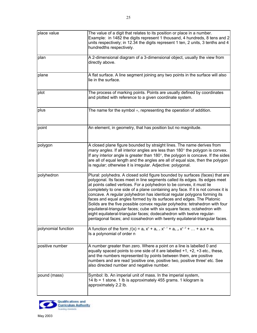| place value         | The value of a digit that relates to its position or place in a number.<br>Example: in 1482 the digits represent 1 thousand, 4 hundreds, 8 tens and 2<br>units respectively; in 12.34 the digits represent 1 ten, 2 units, 3 tenths and 4<br>hundredths respectively.                                                                                                                                                                                                                                                                                                                                                                                                                                                                                                                               |
|---------------------|-----------------------------------------------------------------------------------------------------------------------------------------------------------------------------------------------------------------------------------------------------------------------------------------------------------------------------------------------------------------------------------------------------------------------------------------------------------------------------------------------------------------------------------------------------------------------------------------------------------------------------------------------------------------------------------------------------------------------------------------------------------------------------------------------------|
| plan                | A 2-dimensional diagram of a 3-dimensional object, usually the view from<br>directly above.                                                                                                                                                                                                                                                                                                                                                                                                                                                                                                                                                                                                                                                                                                         |
| plane               | A flat surface. A line segment joining any two points in the surface will also<br>lie in the surface.                                                                                                                                                                                                                                                                                                                                                                                                                                                                                                                                                                                                                                                                                               |
| plot                | The process of marking points. Points are usually defined by coordinates<br>and plotted with reference to a given coordinate system.                                                                                                                                                                                                                                                                                                                                                                                                                                                                                                                                                                                                                                                                |
| plus                | The name for the symbol $+$ , representing the operation of addition.                                                                                                                                                                                                                                                                                                                                                                                                                                                                                                                                                                                                                                                                                                                               |
| point               | An element, in geometry, that has position but no magnitude.                                                                                                                                                                                                                                                                                                                                                                                                                                                                                                                                                                                                                                                                                                                                        |
| polygon             | A closed plane figure bounded by straight lines. The name derives from<br>many angles. If all interior angles are less than 180° the polygon is convex.<br>If any interior angle is greater than $180^\circ$ , the polygon is concave. If the sides<br>are all of equal length and the angles are all of equal size, then the polygon<br>is regular; otherwise it is irregular. Adjective: polygonal.                                                                                                                                                                                                                                                                                                                                                                                               |
| polyhedron          | Plural: polyhedra. A closed solid figure bounded by surfaces (faces) that are<br>polygonal. Its faces meet in line segments called its edges. Its edges meet<br>at points called vertices. For a polyhedron to be convex, it must lie<br>completely to one side of a plane containing any face. If it is not convex it is<br>concave. A regular polyhedron has identical regular polygons forming its<br>faces and equal angles formed by its surfaces and edges. The Platonic<br>Solids are the five possible convex regular polyhedra: tetrahedron with four<br>equilateral-triangular faces; cube with six square faces; octahedron with<br>eight equilateral-triangular faces; dodecahedron with twelve regular-<br>pentagonal faces; and icosahedron with twenty equilateral-triangular faces. |
| polynomial function | A function of the form $f(x) = a_n x^n + a_{n-1} x^{n-1} + a_{n-2} x^{n-2} +  + a_1 x + a_0$<br>Is a polynomial of order n                                                                                                                                                                                                                                                                                                                                                                                                                                                                                                                                                                                                                                                                          |
| positive number     | A number greater than zero. Where a point on a line is labelled 0 and<br>equally spaced points to one side of it are labelled +1, +2, +3 etc., these,<br>and the numbers represented by points between them, are positive<br>numbers and are read 'positive one, positive two, positive three' etc. See<br>also directed number and negative number.                                                                                                                                                                                                                                                                                                                                                                                                                                                |
| pound (mass)        | Symbol: Ib. An imperial unit of mass. In the imperial system,<br>14 lb = 1 stone. 1 lb is approximately 455 grams. 1 kilogram is<br>approximately 2.2 lb.                                                                                                                                                                                                                                                                                                                                                                                                                                                                                                                                                                                                                                           |

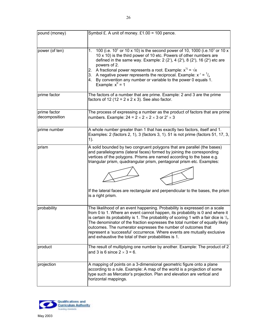| pound (money)                 | Symbol £. A unit of money. £1.00 = 100 pence.                                                                                                                                                                                                                                                                                                                                                                                                                                                                                                         |
|-------------------------------|-------------------------------------------------------------------------------------------------------------------------------------------------------------------------------------------------------------------------------------------------------------------------------------------------------------------------------------------------------------------------------------------------------------------------------------------------------------------------------------------------------------------------------------------------------|
|                               |                                                                                                                                                                                                                                                                                                                                                                                                                                                                                                                                                       |
| power (of ten)                | 100 (i.e. $10^2$ or 10 x 10) is the second power of 10, 1000 (i.e. 10 <sup>3</sup> or 10 x<br>1.<br>10 x 10) is the third power of 10 etc. Powers of other numbers are<br>defined in the same way. Example: $2(2^1)$ , $4(2^2)$ , $8(2^3)$ , $16(2^4)$ etc are<br>powers of 2.<br>A fractional power represents a root. Example: $x^{\frac{1}{2}} = \sqrt{x}$<br>2.<br>A negative power represents the reciprocal. Example: $x^{-1} = \frac{1}{x}$<br>3.<br>By convention any number or variable to the power 0 equals 1.<br>4.<br>Example: $x^0 = 1$ |
| prime factor                  | The factors of a number that are prime. Example: 2 and 3 are the prime<br>factors of 12 (12 = $2 \times 2 \times 3$ ). See also factor.                                                                                                                                                                                                                                                                                                                                                                                                               |
| prime factor<br>decomposition | The process of expressing a number as the product of factors that are prime<br>numbers. Example: $24 = 2 \times 2 \times 2 \times 3$ or $2^3 \times 3$                                                                                                                                                                                                                                                                                                                                                                                                |
| prime number                  | A whole number greater than 1 that has exactly two factors, itself and 1.<br>Examples: 2 (factors 2, 1), 3 (factors 3, 1). 51 is not prime (factors 51, 17, 3,<br>1).                                                                                                                                                                                                                                                                                                                                                                                 |
| prism                         | A solid bounded by two congruent polygons that are parallel (the bases)<br>and parallelograms (lateral faces) formed by joining the corresponding<br>vertices of the polygons. Prisms are named according to the base e.g.<br>triangular prism, quadrangular prism, pentagonal prism etc. Examples:<br>If the lateral faces are rectangular and perpendicular to the bases, the prism<br>is a right prism.                                                                                                                                            |
| probability                   | The likelihood of an event happening. Probability is expressed on a scale<br>from 0 to 1. Where an event cannot happen, its probability is 0 and where it<br>is certain its probability is 1. The probability of scoring 1 with a fair dice is $\frac{1}{6}$ .<br>The denominator of the fraction expresses the total number of equally likely<br>outcomes. The numerator expresses the number of outcomes that<br>represent a 'successful' occurrence. Where events are mutually exclusive<br>and exhaustive the total of their probabilities is 1.  |
| product                       | The result of multiplying one number by another. Example: The product of 2<br>and 3 is 6 since $2 \times 3 = 6$ .                                                                                                                                                                                                                                                                                                                                                                                                                                     |
| projection                    | A mapping of points on a 3-dimensional geometric figure onto a plane<br>according to a rule. Example: A map of the world is a projection of some<br>type such as Mercator's projection. Plan and elevation are vertical and<br>horizontal mappings.                                                                                                                                                                                                                                                                                                   |

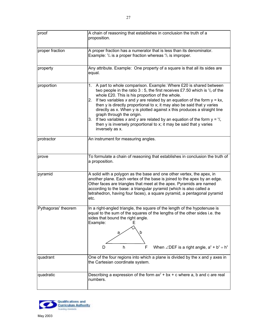<span id="page-27-0"></span>

| proof               | A chain of reasoning that establishes in conclusion the truth of a<br>proposition.                                                                                                                                                                                                                                                                                                                                                                                                                                                                                                                                                                                              |
|---------------------|---------------------------------------------------------------------------------------------------------------------------------------------------------------------------------------------------------------------------------------------------------------------------------------------------------------------------------------------------------------------------------------------------------------------------------------------------------------------------------------------------------------------------------------------------------------------------------------------------------------------------------------------------------------------------------|
| proper fraction     | A proper fraction has a numerator that is less than its denominator.<br>Example: $\frac{3}{4}$ is a proper fraction whereas $\frac{4}{3}$ is improper.                                                                                                                                                                                                                                                                                                                                                                                                                                                                                                                          |
| property            | Any attribute. Example: One property of a square is that all its sides are<br>equal.                                                                                                                                                                                                                                                                                                                                                                                                                                                                                                                                                                                            |
| proportion          | A part to whole comparison. Example: Where £20 is shared between<br>1.<br>two people in the ratio 3 : 5, the first receives £7.50 which is $\frac{3}{8}$ of the<br>whole £20. This is his proportion of the whole.<br>If two variables x and y are related by an equation of the form $y = kx$ ,<br>2.<br>then y is directly proportional to x; it may also be said that y varies<br>directly as x. When y is plotted against x this produces a straight line<br>graph through the origin.<br>If two variables x and y are related by an equation of the form $y = \frac{k}{x}$<br>З.<br>then y is inversely proportional to x; it may be said that y varies<br>inversely as x. |
| protractor          | An instrument for measuring angles.                                                                                                                                                                                                                                                                                                                                                                                                                                                                                                                                                                                                                                             |
| prove               | To formulate a chain of reasoning that establishes in conclusion the truth of<br>a proposition.                                                                                                                                                                                                                                                                                                                                                                                                                                                                                                                                                                                 |
| pyramid             | A solid with a polygon as the base and one other vertex, the apex, in<br>another plane. Each vertex of the base is joined to the apex by an edge.<br>Other faces are triangles that meet at the apex. Pyramids are named<br>according to the base: a triangular pyramid (which is also called a<br>tetrahedron, having four faces), a square pyramid, a pentagonal pyramid<br>etc.                                                                                                                                                                                                                                                                                              |
| Pythagoras' theorem | In a right-angled triangle, the square of the length of the hypotenuse is<br>equal to the sum of the squares of the lengths of the other sides i.e. the<br>sides that bound the right angle.<br>Example:<br>Е<br>b<br>a<br>F<br>When $\angle$ DEF is a right angle, $a^2 + b^2 = h^2$<br>h<br>D                                                                                                                                                                                                                                                                                                                                                                                 |
| quadrant            | One of the four regions into which a plane is divided by the x and y axes in<br>the Cartesian coordinate system.                                                                                                                                                                                                                                                                                                                                                                                                                                                                                                                                                                |
| quadratic           | Describing a expression of the form $ax^2 + bx + c$ where a, b and c are real<br>numbers.                                                                                                                                                                                                                                                                                                                                                                                                                                                                                                                                                                                       |

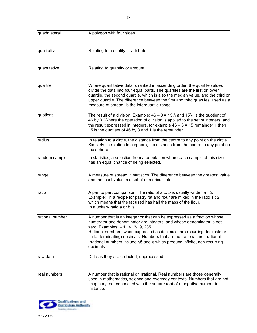<span id="page-28-0"></span>

| quadrilateral   | A polygon with four sides.                                                                                                                                                                                                                                                                                                                                                                                                                                                          |
|-----------------|-------------------------------------------------------------------------------------------------------------------------------------------------------------------------------------------------------------------------------------------------------------------------------------------------------------------------------------------------------------------------------------------------------------------------------------------------------------------------------------|
| qualitative     | Relating to a quality or attribute.                                                                                                                                                                                                                                                                                                                                                                                                                                                 |
| quantitative    | Relating to quantity or amount.                                                                                                                                                                                                                                                                                                                                                                                                                                                     |
| quartile        | Where quantitative data is ranked in ascending order, the quartile values<br>divide the data into four equal parts. The quartiles are the first or lower<br>quartile, the second quartile, which is also the median value, and the third or<br>upper quartile. The difference between the first and third quartiles, used as a<br>measure of spread, is the interquartile range.                                                                                                    |
| quotient        | The result of a division. Example: $46 \div 3 = 15\frac{1}{3}$ and $15\frac{1}{3}$ is the quotient of<br>46 by 3. Where the operation of division is applied to the set of integers, and<br>the result expressed in integers, for example $46 \div 3 = 15$ remainder 1 then<br>15 is the quotient of 46 by 3 and 1 is the remainder.                                                                                                                                                |
| radius          | In relation to a circle, the distance from the centre to any point on the circle.<br>Similarly, in relation to a sphere, the distance from the centre to any point on<br>the sphere.                                                                                                                                                                                                                                                                                                |
| random sample   | In statistics, a selection from a population where each sample of this size<br>has an equal chance of being selected.                                                                                                                                                                                                                                                                                                                                                               |
| range           | A measure of spread in statistics. The difference between the greatest value<br>and the least value in a set of numerical data.                                                                                                                                                                                                                                                                                                                                                     |
| ratio           | A part to part comparison. The ratio of $a$ to $b$ is usually written $a:b$ .<br>Example: In a recipe for pastry fat and flour are mixed in the ratio 1 : 2<br>which means that the fat used has half the mass of the flour.<br>In a unitary ratio a or b is 1.                                                                                                                                                                                                                     |
| rational number | A number that is an integer or that can be expressed as a fraction whose<br>numerator and denominator are integers, and whose denominator is not<br>zero. Examples: $-1$ , $\frac{1}{3}$ , $\frac{3}{5}$ , 9, 235.<br>Rational numbers, when expressed as decimals, are recurring decimals or<br>finite (terminating) decimals. Numbers that are not rational are irrational.<br>Irrational numbers include $\sqrt{5}$ and $\pi$ which produce infinite, non-recurring<br>decimals. |
| raw data        | Data as they are collected, unprocessed.                                                                                                                                                                                                                                                                                                                                                                                                                                            |
| real numbers    | A number that is rational or irrational. Real numbers are those generally<br>used in mathematics, science and everyday contexts. Numbers that are not<br>imaginary, not connected with the square root of a negative number for<br>instance.                                                                                                                                                                                                                                        |

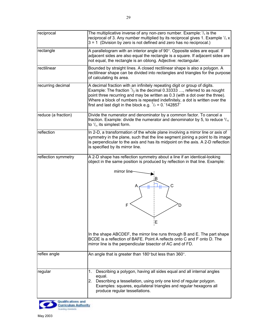| reciprocal          | The multiplicative inverse of any non-zero number. Example: $\frac{1}{3}$ is the<br>reciprocal of 3. Any number multiplied by its reciprocal gives 1. Example $\frac{1}{3}$ x<br>$3 = 1$ (Division by zero is not defined and zero has no reciprocal.)                                                                                                                                                        |
|---------------------|---------------------------------------------------------------------------------------------------------------------------------------------------------------------------------------------------------------------------------------------------------------------------------------------------------------------------------------------------------------------------------------------------------------|
| rectangle           | A parallelogram with an interior angle of 90°. Opposite sides are equal. If<br>adjacent sides are also equal the rectangle is a square. If adjacent sides are<br>not equal, the rectangle is an oblong. Adjective: rectangular.                                                                                                                                                                               |
| rectilinear         | Bounded by straight lines. A closed rectilinear shape is also a polygon. A<br>rectilinear shape can be divided into rectangles and triangles for the purpose<br>of calculating its area.                                                                                                                                                                                                                      |
| recurring decimal   | A decimal fraction with an infinitely repeating digit or group of digits.<br>Example: The fraction $\frac{1}{3}$ is the decimal 0.33333 , referred to as nought<br>point three recurring and may be written as 0.3 (with a dot over the three).<br>Where a block of numbers is repeated indefinitely, a dot is written over the<br>first and last digit in the block e.g. $1/7 = 0.142857$                    |
| reduce (a fraction) | Divide the numerator and denominator by a common factor. To cancel a<br>fraction. Example: divide the numerator and denominator by 5, to reduce $\frac{5}{15}$<br>to $\frac{1}{3}$ , its simplest form.                                                                                                                                                                                                       |
| reflection          | In 2-D, a transformation of the whole plane involving a mirror line or axis of<br>symmetry in the plane, such that the line segment joining a point to its image<br>is perpendicular to the axis and has its midpoint on the axis. A 2-D reflection<br>is specified by its mirror line.                                                                                                                       |
| reflection symmetry | A 2-D shape has reflection symmetry about a line if an identical-looking<br>object in the same position is produced by reflection in that line. Example:<br>mirror line<br>Α<br>F<br>ļЕ<br>In the shape ABCDEF, the mirror line runs through B and E. The part shape<br>BCDE is a reflection of BAFE. Point A reflects onto C and F onto D. The<br>mirror line is the perpendicular bisector of AC and of FD. |
| reflex angle        | An angle that is greater than $180^\circ$ but less than $360^\circ$ .                                                                                                                                                                                                                                                                                                                                         |
| regular             | Describing a polygon, having all sides equal and all internal angles<br>1.<br>equal.<br>2.<br>Describing a tessellation, using only one kind of regular polygon.<br>Examples: squares, equilateral triangles and regular hexagons all<br>produce regular tessellations.                                                                                                                                       |

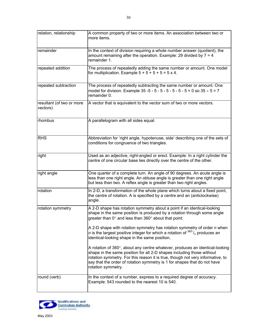| relation, relationship                | A common property of two or more items. An association between two or<br>more items.                                                                                                                                                                                                                                                      |
|---------------------------------------|-------------------------------------------------------------------------------------------------------------------------------------------------------------------------------------------------------------------------------------------------------------------------------------------------------------------------------------------|
| remainder                             | In the context of division requiring a whole number answer (quotient), the<br>amount remaining after the operation. Example: 29 divided by $7 = 4$<br>remainder 1.                                                                                                                                                                        |
| repeated addition                     | The process of repeatedly adding the same number or amount. One model<br>for multiplication. Example $5 + 5 + 5 + 5 = 5 \times 4$ .                                                                                                                                                                                                       |
| repeated subtraction                  | The process of repeatedly subtracting the same number or amount. One<br>model for division. Example 35 -5 - 5 - 5 - 5 - 5 - 5 - 5 - 5 = 0 so $35 \div 5 = 7$<br>remainder 0.                                                                                                                                                              |
| resultant (of two or more<br>vectors) | A vector that is equivalent to the vector sum of two or more vectors.                                                                                                                                                                                                                                                                     |
| rhombus                               | A parallelogram with all sides equal.                                                                                                                                                                                                                                                                                                     |
| <b>RHS</b>                            | Abbreviation for 'right angle, hypotenuse, side' describing one of the sets of<br>conditions for congruence of two triangles.                                                                                                                                                                                                             |
| right                                 | Used as an adjective, right-angled or erect. Example: In a right cylinder the<br>centre of one circular base lies directly over the centre of the other.                                                                                                                                                                                  |
| right angle                           | One quarter of a complete turn. An angle of 90 degrees. An acute angle is<br>less than one right angle. An obtuse angle is greater than one right angle<br>but less than two. A reflex angle is greater than two right angles.                                                                                                            |
| rotation                              | In 2-D, a transformation of the whole plane which turns about a fixed point,<br>the centre of rotation. A is specified by a centre and an (anticlockwise)<br>angle.                                                                                                                                                                       |
| rotation symmetry                     | A 2-D shape has rotation symmetry about a point if an identical-looking<br>shape in the same position is produced by a rotation through some angle<br>greater than $0^\circ$ and less than 360 $^\circ$ about that point.                                                                                                                 |
|                                       | A 2-D shape with rotation symmetry has rotation symmetry of order n when<br>n is the largest positive integer for which a rotation of $360^{\circ}/_n$ produces an<br>identical-looking shape in the same position.                                                                                                                       |
|                                       | A rotation of 360°, about any centre whatever, produces an identical-looking<br>shape in the same position for all 2-D shapes including those without<br>rotation symmetry. For this reason it is true, though not very informative, to<br>say that the order of rotation symmetry is 1 for shapes that do not have<br>rotation symmetry. |
| round (verb)                          | In the context of a number, express to a required degree of accuracy.<br>Example: 543 rounded to the nearest 10 is 540.                                                                                                                                                                                                                   |

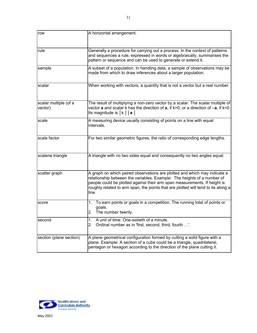<span id="page-31-0"></span>

| row                              | A horizontal arrangement.                                                                                                                                                                                                                                                                                                       |
|----------------------------------|---------------------------------------------------------------------------------------------------------------------------------------------------------------------------------------------------------------------------------------------------------------------------------------------------------------------------------|
| rule                             | Generally a procedure for carrying out a process. In the context of patterns<br>and sequences a rule, expressed in words or algebraically, summarises the<br>pattern or sequence and can be used to generate or extend it.                                                                                                      |
| sample                           | A subset of a population. In handling data, a sample of observations may be<br>made from which to draw inferences about a larger population.                                                                                                                                                                                    |
| scalar                           | When working with vectors, a quantity that is not a vector but a real number.                                                                                                                                                                                                                                                   |
| scalar multiple (of a<br>vector) | The result of multiplying a non-zero vector by a scalar. The scalar multiple of<br>vector <b>a</b> and scalar k has the direction of $a$ , if $k > 0$ , or a direction of $-a$ , if $k < 0$ .<br>Its magnitude is $ k $   a                                                                                                     |
| scale                            | A measuring device usually consisting of points on a line with equal<br>intervals.                                                                                                                                                                                                                                              |
| scale factor                     | For two similar geometric figures, the ratio of corresponding edge lengths.                                                                                                                                                                                                                                                     |
| scalene triangle                 | A triangle with no two sides equal and consequently no two angles equal.                                                                                                                                                                                                                                                        |
| scatter graph                    | A graph on which paired observations are plotted and which may indicate a<br>relationship between the variables. Example: The heights of a number of<br>people could be plotted against their arm span measurements. If height is<br>roughly related to arm span, the points that are plotted will tend to lie along a<br>line. |
| score                            | To earn points or goals in a competition. The running total of points or<br>1.<br>goals.<br>The number twenty.<br>2.                                                                                                                                                                                                            |
| second                           | A unit of time. One-sixtieth of a minute.<br>1.<br>Ordinal number as in 'first, second, third, fourth '.<br>2.                                                                                                                                                                                                                  |
| section (plane section)          | A plane geometrical configuration formed by cutting a solid figure with a<br>plane. Example: A section of a cube could be a triangle, quadrilateral,<br>pentagon or hexagon according to the direction of the plane cutting it.                                                                                                 |

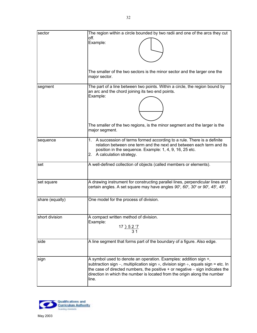| sector          | The region within a circle bounded by two radii and one of the arcs they cut<br>off.<br>Example:                                                                                                                                                                                                                                         |
|-----------------|------------------------------------------------------------------------------------------------------------------------------------------------------------------------------------------------------------------------------------------------------------------------------------------------------------------------------------------|
|                 | The smaller of the two sectors is the minor sector and the larger one the<br>major sector.                                                                                                                                                                                                                                               |
| segment         | The part of a line between two points. Within a circle, the region bound by<br>an arc and the chord joining its two end points.<br>Example:                                                                                                                                                                                              |
|                 | The smaller of the two regions, is the minor segment and the larger is the<br>major segment.                                                                                                                                                                                                                                             |
| sequence        | A succession of terms formed according to a rule. There is a definite<br>1.<br>relation between one term and the next and between each term and its<br>position in the sequence. Example: 1, 4, 9, 16, 25 etc.<br>A calculation strategy.<br>2.                                                                                          |
| set             | A well-defined collection of objects (called members or elements).                                                                                                                                                                                                                                                                       |
| set square      | A drawing instrument for constructing parallel lines, perpendicular lines and<br>certain angles. A set square may have angles $90^{\circ}$ , $60^{\circ}$ , $30^{\circ}$ or $90^{\circ}$ , $45^{\circ}$ , $45^{\circ}$ .                                                                                                                 |
| share (equally) | One model for the process of division.                                                                                                                                                                                                                                                                                                   |
| short division  | A compact written method of division.<br>Example:<br><u>17 ) 5 2 '7</u><br>3 <sub>1</sub>                                                                                                                                                                                                                                                |
| side            | A line segment that forms part of the boundary of a figure. Also edge.                                                                                                                                                                                                                                                                   |
| sign            | A symbol used to denote an operation. Examples: addition sign +,<br>subtraction sign –, multiplication sign $\times$ , division sign ÷, equals sign = etc. In<br>the case of directed numbers, the positive $+$ or negative $-$ sign indicates the<br>direction in which the number is located from the origin along the number<br>line. |

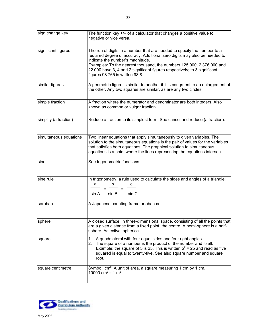| sign change key        | The function key $+/-$ of a calculator that changes a positive value to<br>negative or vice versa.                                                                                                                                                                                                                                                                                |
|------------------------|-----------------------------------------------------------------------------------------------------------------------------------------------------------------------------------------------------------------------------------------------------------------------------------------------------------------------------------------------------------------------------------|
| significant figures    | The run of digits in a number that are needed to specify the number to a<br>required degree of accuracy. Additional zero digits may also be needed to<br>indicate the number's magnitude.<br>Examples: To the nearest thousand, the numbers 125 000, 2 376 000 and<br>22 000 have 3, 4 and 2 significant figures respectively; to 3 significant<br>figures 98.765 is written 98.8 |
| similar figures        | A geometric figure is similar to another if it is congruent to an enlargement of<br>the other. Any two squares are similar, as are any two circles.                                                                                                                                                                                                                               |
| simple fraction        | A fraction where the numerator and denominator are both integers. Also<br>known as common or vulgar fraction.                                                                                                                                                                                                                                                                     |
| simplify (a fraction)  | Reduce a fraction to its simplest form. See cancel and reduce (a fraction).                                                                                                                                                                                                                                                                                                       |
| simultaneous equations | Two linear equations that apply simultaneously to given variables. The<br>solution to the simultaneous equations is the pair of values for the variables<br>that satisfies both equations. The graphical solution to simultaneous<br>equations is a point where the lines representing the equations intersect.                                                                   |
| sine                   | See trigonometric functions                                                                                                                                                                                                                                                                                                                                                       |
| sine rule              | In trigonometry, a rule used to calculate the sides and angles of a triangle:<br>a<br>sin B<br>sin C<br>sin A                                                                                                                                                                                                                                                                     |
| soroban                | A Japanese counting frame or abacus                                                                                                                                                                                                                                                                                                                                               |
| sphere                 | A closed surface, in three-dimensional space, consisting of all the points that<br>are a given distance from a fixed point, the centre. A hemi-sphere is a half-<br>sphere. Adjective: spherical                                                                                                                                                                                  |
| square                 | A quadrilateral with four equal sides and four right angles.<br>1.<br>The square of a number is the product of the number and itself.<br>2.<br>Example: the square of 5 is 25. This is written $5^2$ = 25 and read as five<br>squared is equal to twenty-five. See also square number and square<br>root.                                                                         |
| square centimetre      | Symbol: cm <sup>2</sup> . A unit of area, a square measuring 1 cm by 1 cm.<br>10000 cm <sup>2</sup> = 1 m <sup>2</sup>                                                                                                                                                                                                                                                            |

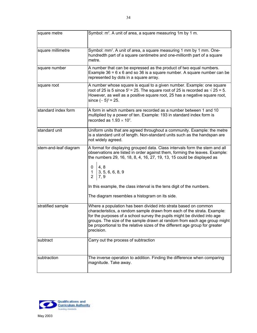| square metre          | Symbol: m <sup>2</sup> . A unit of area, a square measuring 1m by 1 m.                                                                                                                                                                                                                                                                                                                                                                    |
|-----------------------|-------------------------------------------------------------------------------------------------------------------------------------------------------------------------------------------------------------------------------------------------------------------------------------------------------------------------------------------------------------------------------------------------------------------------------------------|
| square millimetre     | Symbol: mm <sup>2</sup> . A unit of area, a square measuring 1 mm by 1 mm. One-<br>hundredth part of a square centimetre and one-millionth part of a square<br>metre.                                                                                                                                                                                                                                                                     |
| square number         | A number that can be expressed as the product of two equal numbers.<br>Example $36 = 6 \times 6$ and so 36 is a square number. A square number can be<br>represented by dots in a square array.                                                                                                                                                                                                                                           |
| square root           | A number whose square is equal to a given number. Example: one square<br>root of 25 is 5 since $5^2$ = 25. The square root of 25 is recorded as $\sqrt{25}$ = 5.<br>However, as well as a positive square root, 25 has a negative square root,<br>since $(-5)^2$ = 25.                                                                                                                                                                    |
| standard index form   | A form in which numbers are recorded as a number between 1 and 10<br>multiplied by a power of ten. Example: 193 in standard index form is<br>recorded as $1.93 \times 10^2$ .                                                                                                                                                                                                                                                             |
| standard unit         | Uniform units that are agreed throughout a community. Example: the metre<br>is a standard unit of length. Non-standard units such as the handspan are<br>not widely agreed.                                                                                                                                                                                                                                                               |
| stem-and-leaf diagram | A format for displaying grouped data. Class intervals form the stem and all<br>observations are listed in order against them, forming the leaves. Example:<br>the numbers 29, 16, 18, 8, 4, 16, 27, 19, 13, 15 could be displayed as<br>4, 8<br>0<br>$\mathbf 1$<br>3, 5, 6, 6, 8, 9<br>$\overline{2}$<br>7, 9<br>In this example, the class interval is the tens digit of the numbers.<br>The diagram resembles a histogram on its side. |
| stratified sample     | Where a population has been divided into strata based on common<br>characteristics, a random sample drawn from each of the strata. Example:<br>for the purposes of a school survey the pupils might be divided into age<br>groups. The size of the sample drawn at random from each age group might<br>be proportional to the relative sizes of the different age group for greater<br>precision.                                         |
| subtract              | Carry out the process of subtraction                                                                                                                                                                                                                                                                                                                                                                                                      |
| subtraction           | The inverse operation to addition. Finding the difference when comparing<br>magnitude. Take away.                                                                                                                                                                                                                                                                                                                                         |

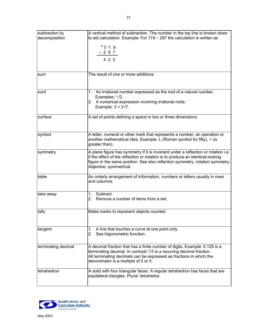<span id="page-35-0"></span>

| subtraction by<br>decomposition | A vertical method of subtraction. The number in the top line is broken down<br>to aid calculation. Example: For 719 - 297 the calculation is written as                                                                                                                          |
|---------------------------------|----------------------------------------------------------------------------------------------------------------------------------------------------------------------------------------------------------------------------------------------------------------------------------|
|                                 | 67119                                                                                                                                                                                                                                                                            |
|                                 | $-297$                                                                                                                                                                                                                                                                           |
|                                 | 4 2 2                                                                                                                                                                                                                                                                            |
| sum                             | The result of one or more additions.                                                                                                                                                                                                                                             |
|                                 |                                                                                                                                                                                                                                                                                  |
| surd                            | An irrational number expressed as the root of a natural number.<br>1.<br>Examples: $\sqrt[3]{2}$ .                                                                                                                                                                               |
|                                 | 2. A numerical expression involving irrational roots.<br>Example: $3 + 2\sqrt{7}$ .                                                                                                                                                                                              |
| surface                         | A set of points defining a space in two or three dimensions.                                                                                                                                                                                                                     |
| symbol                          | A letter, numeral or other mark that represents a number, an operation or<br>another mathematical idea. Example: $L$ (Roman symbol for fifty), $>$ (is<br>greater than).                                                                                                         |
| symmetry                        | A plane figure has symmetry if it is invariant under a reflection or rotation i.e.<br>if the effect of the reflection or rotation is to produce an identical-looking<br>figure in the same position. See also reflection symmetry, rotation symmetry.<br>Adjective: symmetrical. |
| table                           | An orderly arrangement of information, numbers or letters usually in rows<br>and columns.                                                                                                                                                                                        |
| take away                       | Subtract<br>1.<br>Remove a number of items from a set.<br>2.                                                                                                                                                                                                                     |
| tally                           | Make marks to represent objects counted.                                                                                                                                                                                                                                         |
| tangent                         | A line that touches a curve at one point only.<br>1.<br>See trigonometric function.<br>2.                                                                                                                                                                                        |
| terminating decimal             | A decimal fraction that has a finite number of digits. Example: 0.125 is a<br>terminating decimal. In contrast 1/3 is a recurring decimal fraction.<br>All terminating decimals can be expressed as fractions in which the<br>denominator is a multiple of 2 or 5.               |
| tetrahedron                     | A solid with four triangular faces. A regular tetrahedron has faces that are<br>equilateral triangles. Plural: tetrahedra                                                                                                                                                        |

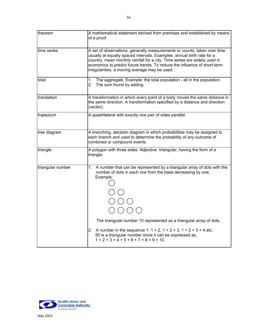| theorem           | A mathematical statement derived from premises and established by means<br>of a proof.                                                                                                                                                                                                                                                                                                                                 |
|-------------------|------------------------------------------------------------------------------------------------------------------------------------------------------------------------------------------------------------------------------------------------------------------------------------------------------------------------------------------------------------------------------------------------------------------------|
| time series       | A set of observations, generally measurements or counts, taken over time<br>usually at equally spaced intervals. Examples: annual birth rate for a<br>country, mean monthly rainfall for a city. Time series are widely used in<br>economics to predict future trends. To reduce the influence of short-term<br>irregularities, a moving average may be used.                                                          |
| total             | The aggregate. Example: the total population - all in the population.<br>1.<br>2.<br>The sum found by adding.                                                                                                                                                                                                                                                                                                          |
| translation       | A transformation in which every point of a body moves the same distance in<br>the same direction. A transformation specified by a distance and direction<br>(vector).                                                                                                                                                                                                                                                  |
| trapezium         | A quadrilateral with exactly one pair of sides parallel.                                                                                                                                                                                                                                                                                                                                                               |
| tree diagram      | A branching, decision diagram in which probabilities may be assigned to<br>each branch and used to determine the probability of any outcome of<br>combined or compound events.                                                                                                                                                                                                                                         |
| triangle          | A polygon with three sides. Adjective: triangular, having the form of a<br>triangle.                                                                                                                                                                                                                                                                                                                                   |
| triangular number | A number that can be represented by a triangular array of dots with the<br>1.<br>number of dots in each row from the base decreasing by one.<br>Example:<br>The triangular number 10 represented as a triangular array of dots.<br>2. A number in the sequence 1, $1 + 2$ , $1 + 2 + 3$ , $1 + 2 + 3 + 4$ etc.<br>55 is a triangular number since it can be expressed as,<br>$1 + 2 + 3 + 4 + 5 + 6 + 7 + 8 + 9 + 10.$ |

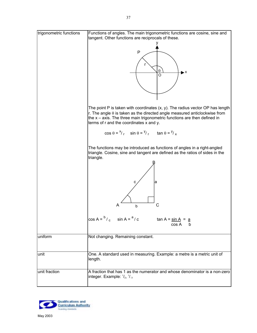<span id="page-37-0"></span>